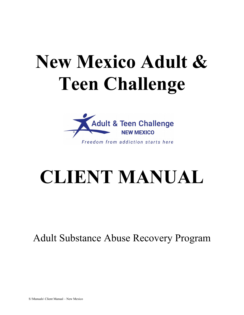# **New Mexico Adult & Teen Challenge**



# **CLIENT MANUAL**

Adult Substance Abuse Recovery Program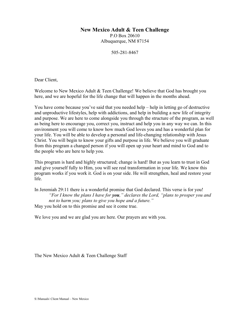### **New Mexico Adult & Teen Challenge**

P.O Box 20610 Albuquerque, NM 87154

505-281-8467

Dear Client,

Welcome to New Mexico Adult & Teen Challenge! We believe that God has brought you here, and we are hopeful for the life change that will happen in the months ahead.

You have come because you've said that you needed help – help in letting go of destructive and unproductive lifestyles, help with addictions, and help in building a new life of integrity and purpose. We are here to come alongside you through the structure of the program, as well as being here to encourage you, correct you, instruct and help you in any way we can. In this environment you will come to know how much God loves you and has a wonderful plan for your life. You will be able to develop a personal and life-changing relationship with Jesus Christ. You will begin to know your gifts and purpose in life. We believe you will graduate from this program a changed person if you will open up your heart and mind to God and to the people who are here to help you.

This program is hard and highly structured; change is hard! But as you learn to trust in God and give yourself fully to Him, you will see real transformation in your life. We know this program works if you work it. God is on your side. He will strengthen, heal and restore your life.

In Jeremiah 29:11 there is a wonderful promise that God declared. This verse is for you! *"For I know the plans I have for you," declares the Lord, "plans to prosper you and not to harm you; plans to give you hope and a future."*  May you hold on to this promise and see it come true.

We love you and we are glad you are here. Our prayers are with you.

The New Mexico Adult & Teen Challenge Staff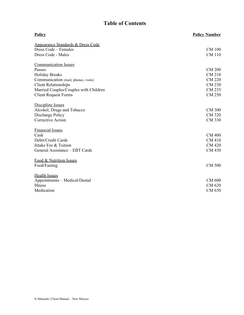# **Table of Contents**

| <b>Policy</b>                                | <b>Policy Number</b> |
|----------------------------------------------|----------------------|
| <b>Appearance Standards &amp; Dress Code</b> |                      |
| Dress Code - Females                         | <b>CM 100</b>        |
| Dress Code - Males                           | <b>CM 110</b>        |
| <b>Communication Issues</b>                  |                      |
| Passes                                       | <b>CM 200</b>        |
| <b>Holiday Breaks</b>                        | <b>CM 210</b>        |
| Communication (mail, phones, visits)         | <b>CM 220</b>        |
| <b>Client Relationships</b>                  | <b>CM 230</b>        |
| Married Couples/Couples with Children        | CM 235               |
| <b>Client Request Forms</b>                  | <b>CM 250</b>        |
| Discipline Issues                            |                      |
| Alcohol, Drugs and Tobacco                   | <b>CM 300</b>        |
| Discharge Policy                             | <b>CM 320</b>        |
| <b>Corrective Action</b>                     | CM 330               |
| <b>Financial Issues</b>                      |                      |
| Cash                                         | <b>CM 400</b>        |
| Debit/Credit Cards                           | <b>CM 410</b>        |
| Intake Fee & Tuition                         | <b>CM 420</b>        |
| General Assistance - EBT Cards               | CM 430               |
| Food & Nutrition Issues                      |                      |
| Food/Fasting                                 | <b>CM 500</b>        |
| <b>Health Issues</b>                         |                      |
| Appointments - Medical/Dental                | <b>CM 600</b>        |
| <b>Illness</b>                               | CM 620               |
| Medication                                   | CM 630               |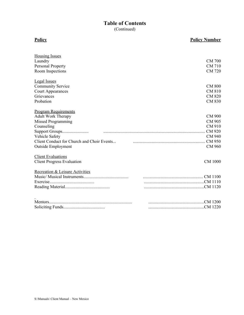# **Table of Contents**

(Continued)

| <b>Housing Issues</b>                      |                |
|--------------------------------------------|----------------|
| Laundry                                    | <b>CM 700</b>  |
| <b>Personal Property</b>                   | <b>CM 710</b>  |
| Room Inspections                           | <b>CM 720</b>  |
| <b>Legal Issues</b>                        |                |
| <b>Community Service</b>                   | <b>CM 800</b>  |
| <b>Court Appearances</b>                   | <b>CM 810</b>  |
| Grievances                                 | <b>CM 820</b>  |
| Probation                                  | CM 830         |
| <b>Program Requirements</b>                |                |
| <b>Adult Work Therapy</b>                  | CM 900         |
| <b>Missed Programming</b>                  | CM 905         |
| Counseling                                 | CM 910         |
|                                            | <b>CM 920</b>  |
| Vehicle Safety                             | <b>CM 940</b>  |
| Client Conduct for Church and Choir Events |                |
| <b>Outside Employment</b>                  | <b>CM 960</b>  |
| <b>Client Evaluations</b>                  |                |
| <b>Client Progress Evaluation</b>          | <b>CM 1000</b> |
| Recreation & Leisure Activities            |                |
|                                            |                |
|                                            |                |
|                                            |                |
|                                            |                |
|                                            | CM 1200        |
|                                            |                |

#### **Policy Policy Number**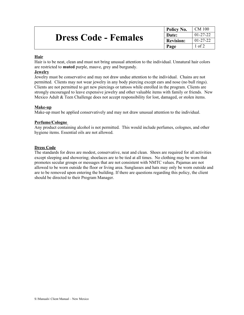|                             | <sup>1</sup> Policy No. | CM 100         |
|-----------------------------|-------------------------|----------------|
| <b>Dress Code - Females</b> | Date:                   | $01 - 27 - 22$ |
|                             | <b>Revision:</b>        | $01 - 27 - 22$ |
|                             | Page                    | l of 2         |

#### **Hair**

Hair is to be neat, clean and must not bring unusual attention to the individual. Unnatural hair colors are restricted to **muted** purple, mauve, grey and burgundy.

#### **Jewelry**

Jewelry must be conservative and may not draw undue attention to the individual. Chains are not permitted. Clients may not wear jewelry in any body piercing except ears and nose (no bull rings). Clients are not permitted to get new piercings or tattoos while enrolled in the program. Clients are strongly encouraged to leave expensive jewelry and other valuable items with family or friends. New Mexico Adult & Teen Challenge does not accept responsibility for lost, damaged, or stolen items.

#### **Make-up**

Make-up must be applied conservatively and may not draw unusual attention to the individual.

#### **Perfume/Cologne**

Any product containing alcohol is not permitted. This would include perfumes, colognes, and other hygiene items. Essential oils are not allowed.

#### **Dress Code**

The standards for dress are modest, conservative, neat and clean. Shoes are required for all activities except sleeping and showering; shoelaces are to be tied at all times. No clothing may be worn that promotes secular groups or messages that are not consistent with NMTC values. Pajamas are not allowed to be worn outside the floor or living area. Sunglasses and hats may only be worn outside and are to be removed upon entering the building. If there are questions regarding this policy, the client should be directed to their Program Manager.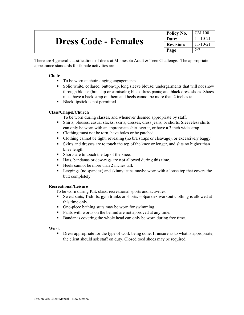|                             | Policy No.       | CM 100         |
|-----------------------------|------------------|----------------|
| <b>Dress Code - Females</b> | Date:            | $11 - 10 - 21$ |
|                             | <b>Revision:</b> | $11 - 10 - 21$ |
|                             | Page             |                |

There are 4 general classifications of dress at Minnesota Adult & Teen Challenge. The appropriate appearance standards for female activities are:

#### **Choir**

- To be worn at choir singing engagements.
- Solid white, collared, button-up, long sleeve blouse; undergarments that will not show through blouse (bra, slip or camisole); black dress pants; and black dress shoes. Shoes must have a back strap on them and heels cannot be more than 2 inches tall.
- Black lipstick is not permitted.

#### **Class/Chapel/Church**

To be worn during classes, and whenever deemed appropriate by staff.

- Shirts, blouses, casual slacks, skirts, dresses, dress jeans, or shorts. Sleeveless shirts can only be worn with an appropriate shirt over it, or have a 3 inch wide strap.
- Clothing must not be torn, have holes or be patched.
- Clothing cannot be tight, revealing (no bra straps or cleavage), or excessively baggy.
- Skirts and dresses are to touch the top of the knee or longer, and slits no higher than knee length.
- Shorts are to touch the top of the knee.
- Hats, bandanas or dew-rags are **not** allowed during this time.
- Heels cannot be more than 2 inches tall.
- **Example 1** Leggings (no spandex) and skinny jeans maybe worn with a loose top that covers the butt completely

#### **Recreational/Leisure**

To be worn during P.E. class, recreational sports and activities.

- Sweat suits, T-shirts, gym trunks or shorts. Spandex workout clothing is allowed at this time only.
- One-piece bathing suits may be worn for swimming.
- Pants with words on the behind are not approved at any time.
- Bandanas covering the whole head can only be worn during free time.

#### **Work**

**•** Dress appropriate for the type of work being done. If unsure as to what is appropriate, the client should ask staff on duty. Closed toed shoes may be required.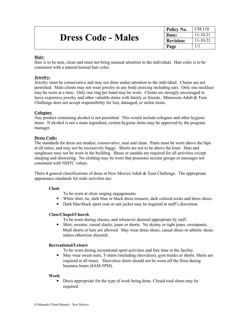|                           | Policy No.       | CM 110         |
|---------------------------|------------------|----------------|
| <b>Dress Code - Males</b> | Date:            | $11 - 10 - 21$ |
|                           | <b>Revision:</b> | $11 - 10 - 21$ |
|                           | Page             |                |

#### **Hair:**

Hair is to be neat, clean and must not bring unusual attention to the individual. Hair color is to be consistent with a natural/normal hair color.

#### **Jewelry:**

Jewelry must be conservative and may not draw undue attention to the individual. Chains are not permitted. Male clients may not wear jewelry in any body piercing including ears. Only one necklace may be worn at a time. Only one ring per hand may be worn. Clients are strongly encouraged to leave expensive jewelry and other valuable items with family or friends. Minnesota Adult & Teen Challenge does not accept responsibility for lost, damaged, or stolen items.

#### **Colognes**

Any product containing alcohol is not permitted. This would include colognes and other hygiene items. If alcohol is not a main ingredient, certain hygiene items may be approved by the program manager.

#### **Dress Code:**

The standards for dress are modest, conservative, neat and clean. Pants must be worn above the hips at all times, and may not be excessively baggy. Shorts are not to be above the knee. Hats and sunglasses may not be worn in the building. Shoes or sandals are required for all activities except sleeping and showering. No clothing may be worn that promotes secular groups or messages not consistent with NMTC values.

There 4 general classifications of dress at New Mexico Adult & Teen Challenge. The appropriate appearance standards for male activities are:

#### **Choir**

To be worn at choir singing engagements.

- White shirt, tie, dark blue or black dress trousers, dark colored socks and dress shoes.
- Dark blue/black sport coat or suit jacket may be required at staff's discretion.

#### **Class/Chapel/Church**

To be worn during classes, and whenever deemed appropriate by staff.

▪ Shirt, sweater, casual slacks, jeans or shorts. No skinny or tight jeans, sweatpants, bball shorts or hats are allowed. May wear dress shoes, casual shoes or athletic shoes unless otherwise directed.

#### **Recreational/Leisure**

To be worn during recreational sport activities and free time in the facility.

■ May wear sweat suits, T-shirts (including sleeveless), gym trunks or shorts. Shirts are required at all times. Sleeveless shirts should not be worn off the floor during business hours (8AM-5PM).

#### **Work**

**EXECUTE:** Dress appropriate for the type of work being done. Closed toed shoes may be required.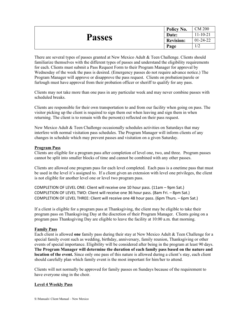|               | Policy No.       | <b>CM 200</b>  |
|---------------|------------------|----------------|
|               | Date:            | $11 - 10 - 21$ |
| <b>Passes</b> | <b>Revision:</b> | $01-24-22$     |
|               | Page             | 1/2            |

There are several types of passes granted at New Mexico Adult & Teen Challenge. Clients should familiarize themselves with the different types of passes and understand the eligibility requirements for each. Clients must submit a Pass Request Form to their Program Manager for approval by Wednesday of the week the pass is desired. (Emergency passes do not require advance notice.) The Program Manager will approve or disapprove the pass request. Clients on probation/parole or furlough must have approval from their probation officer or sheriff to qualify for any pass.

Clients may not take more than one pass in any particular week and may never combine passes with scheduled breaks.

Clients are responsible for their own transportation to and from our facility when going on pass. The visitor picking up the client is required to sign them out when leaving and sign them in when returning. The client is to remain with the person(s) reflected on their pass request.

New Mexico Adult & Teen Challenge occasionally schedules activities on Saturdays that may interfere with normal visitation pass schedules. The Program Manager will inform clients of any changes in schedule which may prevent passes and visitation on a given Saturday.

#### **Program Pass**

Clients are eligible for a program pass after completion of level one, two, and three. Program passes cannot be split into smaller blocks of time and cannot be combined with any other passes.

Clients are allowed one program pass for each level completed. Each pass is a onetime pass that must be used in the level it's assigned to. If a client given an extension with level one privileges, the client is not eligible for another level one or level two program pass.

COMPLETION OF LEVEL ONE: Client will receive one 10 hour pass. (11am – 9pm Sat.) COMPLETION OF LEVEL TWO: Client will receive one 36 hour pass. (8am Fri. – 8pm Sat.) COMPLETION OF LEVEL THREE: Client will receive one 48 hour pass. (6pm Thurs. – 6pm Sat.)

If a client is eligible for a program pass at Thanksgiving, the client may be eligible to take their program pass on Thanksgiving Day at the discretion of their Program Manager. Clients going on a program pass Thanksgiving Day are eligible to leave the facility at 10:00 a.m. that morning.

#### **Family Pass**

Each client is allowed **one** family pass during their stay at New Mexico Adult & Teen Challenge for a special family event such as wedding, birthday, anniversary, family reunion, Thanksgiving or other events of special importance. Eligibility will be considered after being in the program at least 90 days. **The Program Manager will determine the duration of each family pass based on the nature and location of the event.** Since only one pass of this nature is allowed during a client's stay, each client should carefully plan which family event is the most important for him/her to attend.

Clients will not normally be approved for family passes on Sundays because of the requirement to have everyone sing in the choir.

#### **Level 4 Weekly Pass**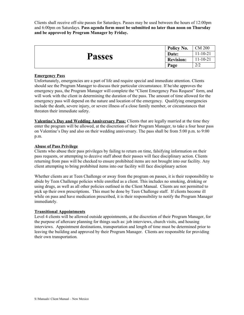Clients shall receive off-site passes for Saturdays. Passes may be used between the hours of 12:00pm and 6:00pm on Saturdays. **Pass agenda form must be submitted no later than noon on Thursday and be approved by Program Manager by Friday.** 

|               | Policy No.       | <b>CM 200</b>             |
|---------------|------------------|---------------------------|
| <b>Passes</b> | Date:            | $1-10-21$                 |
|               | <b>Revision:</b> | $11-10-21$                |
|               | Page             | $\gamma$ / $\sim$<br>ے اپ |

#### **Emergency Pass**

Unfortunately, emergencies are a part of life and require special and immediate attention. Clients should see the Program Manager to discuss their particular circumstance. If he/she approves the emergency pass, the Program Manager will complete the "Client Emergency Pass Request" form, and will work with the client in determining the duration of the pass. The amount of time allowed for the emergency pass will depend on the nature and location of the emergency. Qualifying emergencies include the death, severe injury, or severe illness of a close family member, or circumstances that threaten their immediate safety.

**Valentine's Day and Wedding Anniversary Pass:** Clients that are legally married at the time they enter the program will be allowed, at the discretion of their Program Manager, to take a four hour pass on Valentine's Day and also on their wedding anniversary. The pass shall be from 5:00 p.m. to 9:00 p.m.

#### **Abuse of Pass Privilege**

Clients who abuse their pass privileges by failing to return on time, falsifying information on their pass requests, or attempting to deceive staff about their passes will face disciplinary action. Clients returning from pass will be checked to ensure prohibited items are not brought into our facility. Any client attempting to bring prohibited items into our facility will face disciplinary action

Whether clients are at Teen Challenge or away from the program on passes, it is their responsibility to abide by Teen Challenge policies while enrolled as a client. This includes no smoking, drinking or using drugs, as well as all other policies outlined in the Client Manual. Clients are not permitted to pick up their own prescriptions. This must be done by Teen Challenge staff. If clients become ill while on pass and have medication prescribed, it is their responsibility to notify the Program Manager immediately.

#### **Transitional Appointments**

Level 4 clients will be allowed outside appointments, at the discretion of their Program Manager, for the purpose of aftercare planning for things such as: job interviews, church visits, and housing interviews. Appointment destinations, transportation and length of time must be determined prior to leaving the building and approved by their Program Manager. Clients are responsible for providing their own transportation.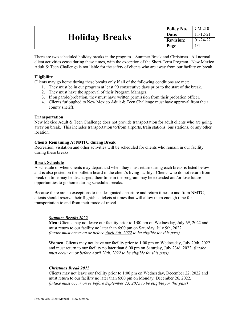|                       | Policy No.       | CM 210         |
|-----------------------|------------------|----------------|
| <b>Holiday Breaks</b> | Date:            | $11 - 12 - 21$ |
|                       | <b>Revision:</b> | $01 - 24 - 22$ |
|                       | Page             |                |

There are two scheduled holiday breaks in the program—Summer Break and Christmas. All normal client activities cease during these times, with the exception of the Short-Term Program. New Mexico Adult & Teen Challenge is not liable for the safety of clients who are away from our facility on break.

#### **Eligibility**

Clients may go home during these breaks only if all of the following conditions are met:

- 1. They must be in our program at least 90 consecutive days prior to the start of the break.
- 2. They must have the approval of their Program Manager.
- 3. If on parole/probation, they must have written permission from their probation officer.
- 4. Clients furloughed to New Mexico Adult & Teen Challenge must have approval from their county sheriff.

#### **Transportation**

New Mexico Adult & Teen Challenge does not provide transportation for adult clients who are going away on break. This includes transportation to/from airports, train stations, bus stations, or any other location.

#### **Clients Remaining At NMTC during Break**

Recreation, visitation and other activities will be scheduled for clients who remain in our facility during these breaks.

#### **Break Schedule**

A schedule of when clients may depart and when they must return during each break is listed below and is also posted on the bulletin board in the client's living facility. Clients who do not return from break on time may be discharged, their time in the program may be extended and/or lose future opportunities to go home during scheduled breaks.

Because there are no exceptions to the designated departure and return times to and from NMTC, clients should reserve their flight/bus tickets at times that will allow them enough time for transportation to and from their mode of travel.

#### *Summer Breaks 2022*

**Men:** Clients may not leave our facility prior to 1:00 pm on Wednesday, July  $6<sup>th</sup>$ , 2022 and must return to our facility no later than 6:00 pm on Saturday, July 9th, 2022. *(intake must occur on or before April 6th, 2022 to be eligible for this pass)*

**Women**: Clients may not leave our facility prior to 1:00 pm on Wednesday, July 20th, 2022 and must return to our facility no later than 6:00 pm on Saturday, July 23rd, 2022. *(intake must occur on or before April 20th, 2022 to be eligible for this pass)*

#### *Christmas Break 2022*

Clients may not leave our facility prior to 1:00 pm on Wednesday, December 22, 2022 and must return to our facility no later than 6:00 pm on Monday, December 26, 2022. *(intake must occur on or before September 23, 2022 to be eligible for this pass)*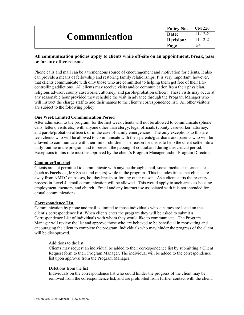|                      | Policy No.       | ∟CM 220        |
|----------------------|------------------|----------------|
| <b>Communication</b> | Date:            | $11 - 12 - 21$ |
|                      | <b>Revision:</b> | 11-12-21       |
|                      | Page             | /4             |

#### **All communication policies apply to clients while off-site on an appointment, break, pass or for any other reason.**

Phone calls and mail can be a tremendous source of encouragement and motivation for clients. It also can provide a means of fellowship and restoring family relationships. It is very important, however, that clients communicate with only those who are committed to helping them get free of their lifecontrolling addictions. All clients may receive visits and/or communication from their physician, religious advisor, county caseworker, attorney, and parole/probation officer. These visits may occur at any reasonable hour provided they schedule the visit in advance through the Program Manager who will instruct the charge staff to add their names to the client's correspondence list. All other visitors are subject to the following policy:

#### **One Week Limited Communication Period**

After admission to the program, for the first week clients will not be allowed to communicate (phone calls, letters, visits etc.) with anyone other than clergy, legal officials (county caseworker, attorney, and parole/probation officer), or in the case of family emergencies. The only exceptions to this are teen clients who will be allowed to communicate with their parents/guardians and parents who will be allowed to communicate with their minor children. The reason for this is to help the client settle into a daily routine in the program and to prevent the passing of contraband during this critical period. Exceptions to this rule must be approved by the client's Program Manager and/or Program Director.

#### **Computer/Internet**

Clients are not permitted to communicate with anyone through email, social media or internet sites (such as Facebook, My Space and others) while in the program. This includes times that clients are away from NMTC on passes, holiday breaks or for any other reason. As a client starts the re-entry process in Level 4, email communication will be allowed. This would apply to such areas as housing, employment, mentors, and church. Email and any internet use associated with it is not intended for casual communications.

#### **Correspondence List**

Communication by phone and mail is limited to those individuals whose names are listed on the client's correspondence list. When clients enter the program they will be asked to submit a Correspondence List of individuals with whom they would like to communicate. The Program Manager will review the list and approve those who are believed to be beneficial in motivating and encouraging the client to complete the program. Individuals who may hinder the progress of the client will be disapproved.

#### Additions to the list

Clients may request an individual be added to their correspondence list by submitting a Client Request form to their Program Manager. The individual will be added to the correspondence list upon approval from the Program Manager.

#### Deletions from the list

Individuals on the correspondence list who could hinder the progress of the client may be removed from the correspondence list, and are prohibited from further contact with the client.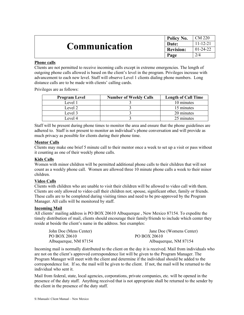|                      | Policy No.       | $\sim$ CM 220  |
|----------------------|------------------|----------------|
| <b>Communication</b> | Date:            | $11 - 12 - 21$ |
|                      | <b>Revision:</b> | $ 01-24-22 $   |
|                      | Page             | 2/4            |

#### **Phone calls**

Clients are not permitted to receive incoming calls except in extreme emergencies. The length of outgoing phone calls allowed is based on the client's level in the program. Privileges increase with advancement to each new level. Staff will observe Level 1 clients dialing phone numbers. Long distance calls are to be made with clients' calling cards.

Privileges are as follows:

| <b>Program Level</b> | <b>Number of Weekly Calls</b> | <b>Length of Call Time</b> |
|----------------------|-------------------------------|----------------------------|
| Level 1              |                               | 10 minutes                 |
| Level 2              |                               | 15 minutes                 |
| Level 3              |                               | 20 minutes                 |
| Level 4              |                               | 25 minutes                 |

Staff will be present during phone times to monitor the area and ensure that the phone guidelines are adhered to. Staff is not present to monitor an individual's phone conversation and will provide as much privacy as possible for clients during their phone time.

#### **Mentor Calls**

Clients may make one brief 5 minute call to their mentor once a week to set up a visit or pass without it counting as one of their weekly phone calls.

#### **Kids Calls**

Women with minor children will be permitted additional phone calls to their children that will not count as a weekly phone call. Women are allowed three 10 minute phone calls a week to their minor children.

#### **Video Calls**

Clients with children who are unable to visit their children will be allowed to video call with them. Clients are only allowed to video call their children not; spouse, significant other, family or friends. These calls are to be completed during visiting times and need to be pre-approved by the Program Manager. All calls will be monitored by staff.

#### **Incoming Mail**

All clients' mailing address is PO BOX 20610 Albuquerque , New Mexico 87154. To expedite the timely distribution of mail, clients should encourage their family/friends to include which center they reside at beside the client's name in the address. See examples:

| John Doe (Mens Center) | Jane Doe (Womens Center) |
|------------------------|--------------------------|
| PO BOX 20610           | PO BOX 20610             |
| Albuquerque, NM 87154  | Albuquerque, NM 87154    |

Incoming mail is normally distributed to the client on the day it is received. Mail from individuals who are not on the client's approved correspondence list will be given to the Program Manager. The Program Manager will meet with the client and determine if the individual should be added to the correspondence list. If so, the mail will be given to the client. If not, the mail will be returned to the individual who sent it.

Mail from federal, state, local agencies, corporations, private companies, etc. will be opened in the presence of the duty staff. Anything received that is not appropriate shall be returned to the sender by the client in the presence of the duty staff.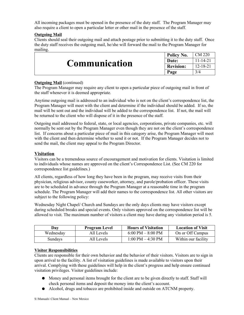All incoming packages must be opened in the presence of the duty staff. The Program Manager may also require a client to open a particular letter or other mail in the presence of the staff.

#### **Outgoing Mail**

Clients should seal their outgoing mail and attach postage prior to submitting it to the duty staff. Once the duty staff receives the outgoing mail, he/she will forward the mail to the Program Manager for mailing.

|                      | Policy No.       | . CM 220       |
|----------------------|------------------|----------------|
| <b>Communication</b> | Date:            | $11 - 14 - 21$ |
|                      | <b>Revision:</b> | $12 - 18 - 21$ |
|                      | Page             | 3/4            |

#### **Outgoing Mail** (continued)

The Program Manager may require any client to open a particular piece of outgoing mail in front of the staff whenever it is deemed appropriate.

Anytime outgoing mail is addressed to an individual who is not on the client's correspondence list, the Program Manager will meet with the client and determine if the individual should be added. If so, the mail will be sent out and the individual will be added to the correspondence list. If not, the mail will be returned to the client who will dispose of it in the presence of the staff.

Outgoing mail addressed to federal, state, or local agencies, corporations, private companies, etc. will normally be sent out by the Program Manager even though they are not on the client's correspondence list. If concerns about a particular piece of mail in this category arise, the Program Manager will meet with the client and then determine whether to send it or not. If the Program Manager decides not to send the mail, the client may appeal to the Program Director.

#### **Visitation**

Visitors can be a tremendous source of encouragement and motivation for clients. Visitation is limited to individuals whose names are approved on the client's Correspondence List. (See CM 220 for correspondence list guidelines.)

All clients, regardless of how long they have been in the program, may receive visits from their physician, religious advisor, county caseworker, attorney, and parole/probation officer. These visits are to be scheduled in advance through the Program Manager at a reasonable time in the program schedule. The Program Manager will add their names to the correspondence list. All other visitors are subject to the following policy:

Wednesday Night Chapel/ Church and Sundays are the only days clients may have visitors except during scheduled breaks and special events. Only visitors approved on the correspondence list will be allowed to visit. The maximum number of visitors a client may have during any visitation period is 5.

| Day       | <b>Program Level</b> | <b>Hours of Visitation</b>          | <b>Location of Visit</b> |
|-----------|----------------------|-------------------------------------|--------------------------|
| Wednesday | All Levels           | $6:00 \text{ PM} - 8:00 \text{ PM}$ | On or Off Campus         |
| Sundays   | All Levels           | $1:00 \text{ PM} - 4:30 \text{ PM}$ | Within our facility      |

#### **Visitor Responsibilities**

Clients are responsible for their own behavior and the behavior of their visitors. Visitors are to sign in upon arrival to the facility. A list of visitation guidelines is made available to visitors upon their arrival. Complying with these guidelines will help in the client's progress and help ensure continued visitation privileges. Visitor guidelines include:

- Money and personal items brought for the client are to be given directly to staff. Staff will check personal items and deposit the money into the client's account.
- Alcohol, drugs and tobacco are prohibited inside and outside on ATCNM property.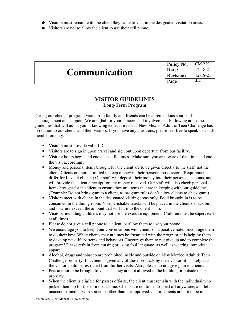- Visitors must remain with the client they came to visit in the designated visitation areas.
- Visitors are not to allow the client to use their cell phone.

|                      | Policy No.       | CM 220         |
|----------------------|------------------|----------------|
| <b>Communication</b> | Date:            | $12 - 18 - 21$ |
|                      | <b>Revision:</b> | $12 - 18 - 21$ |
|                      | Page             | 4/4            |

### **VISITOR GUIDELINES Long-Term Program**

During our clients' program, visits from family and friends can be a tremendous source of encouragement and support. We are glad for your concern and involvement. Following are some guidelines that will assist you in knowing expectations that New Mexico Adult & Teen Challenge has in relation to our clients and their visitors. If you have any questions, please feel free to speak to a staff member on duty.

- Visitors must provide valid I.D.
- Visitors are to sign in upon arrival and sign out upon departure from our facility.
- Visiting hours begin and end at specific times. Make sure you are aware of that time and end the visit accordingly.
- Money and personal items brought for the client are to be given directly to the staff, not the client. Clients are not permitted to keep money in their personal possession. (Requirements differ for Level 4 clients.) Our staff will deposit their money into their personal accounts, and will provide the client a receipt for any money received. Our staff will also check personal items brought for the client to ensure they are items that are in keeping with our guidelines. (Example: Do not bring gum to a client, as program rules don't allow clients to chew gum.)
- Visitors meet with clients in the designated visiting areas only. Food brought in is to be consumed in the dining room. Non-perishable snacks will be placed in the client's snack bin, and may not exceed the amount that will fit into the client's bin.
- Visitors, including children, may not use the exercise equipment. Children must be supervised at all times.
- **•** Please do not give a cell phone to a client, or allow them to use your phone.
- We encourage you to keep your conversations with clients on a positive note. Encourage them to do their best. While clients may at times be frustrated with the program, it is helping them to develop new life patterns and behaviors. Encourage them to not give up and to complete the program! Please refrain from cursing or using foul language, as well as wearing immodest apparel.
- $\blacksquare$  Alcohol, drugs and tobacco are prohibited inside and outside on New Mexico Adult & Teen Challenge property. If a client is given any of these products by their visitor, it is likely that the visitor could be restricted from further visits. Also, please do not give gum to clients.
- Pets are not to be brought to visits, as they are not allowed in the building or outside on TC property.
- When the client is eligible for passes off-site, the client must remain with the individual who picked them up for the entire pass time. Clients are not to be dropped off anywhere, and left unaccompanied or with someone other than the approved visitor. Clients are not to be in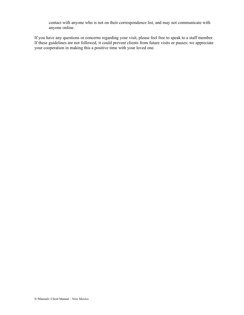contact with anyone who is not on their correspondence list, and may not communicate with anyone online.

If you have any questions or concerns regarding your visit, please feel free to speak to a staff member. If these guidelines are not followed, it could prevent clients from future visits or passes; we appreciate your cooperation in making this a positive time with your loved one.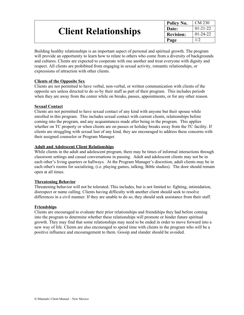|                             | Policy No.       | $\mathcal{C}$ M 230 |
|-----------------------------|------------------|---------------------|
| <b>Client Relationships</b> | <b>Date:</b>     | $01-21-22$          |
|                             | <b>Revision:</b> | $01 - 24 - 22$      |
|                             | Page             |                     |

Building healthy relationships is an important aspect of personal and spiritual growth. The program will provide an opportunity to learn how to relate to others who come from a diversity of backgrounds and cultures. Clients are expected to cooperate with one another and treat everyone with dignity and respect. All clients are prohibited from engaging in sexual activity, romantic relationships, or expressions of attraction with other clients.

#### **Clients of the Opposite Sex**

Clients are not permitted to have verbal, non-verbal, or written communication with clients of the opposite sex unless directed to do so by their staff as part of their program. This includes periods when they are away from the center while on breaks, passes, appointments, or for any other reason.

#### **Sexual Contact**

Clients are not permitted to have sexual contact of any kind with anyone but their spouse while enrolled in this program. This includes sexual contact with current clients, relationships before coming into the program, and any acquaintances made after being in the program. This applies whether on TC property or when clients are on passes or holiday breaks away from the TC facility. If clients are struggling with sexual lust of any kind, they are encouraged to address these concerns with their assigned counselor or Program Manager.

#### **Adult and Adolescent Client Relationships**

While clients in the adult and adolescent program, there may be times of informal interactions through classroom settings and casual conversations in passing. Adult and adolescent clients may not be in each other's living quarters or hallways. At the Program Manager's discretion, adult clients may be in each other's rooms for socializing, (i.e. playing games, talking, Bible studies). The door should remain open at all times.

#### **Threatening Behavior**

Threatening behavior will not be tolerated. This includes, but is not limited to: fighting, intimidation, disrespect or name calling. Clients having difficulty with another client should seek to resolve differences in a civil manner. If they are unable to do so, they should seek assistance from their staff.

#### **Friendships**

Clients are encouraged to evaluate their prior relationships and friendships they had before coming into the program to determine whether these relationships will promote or hinder future spiritual growth. They may find that some relationships may need to be ended in order to move forward into a new way of life. Clients are also encouraged to spend time with clients in the program who will be a positive influence and encouragement to them. Gossip and slander should be avoided.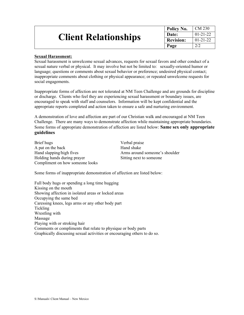|                             | Policy No.       | $\overline{\phantom{0}}$ CM 230 |
|-----------------------------|------------------|---------------------------------|
| <b>Client Relationships</b> | Date:            | $ 01-21-22 $                    |
|                             | <b>Revision:</b> | $01 - 21 - 22$                  |
|                             | Page             | 2/2                             |

#### **Sexual Harassment:**

Sexual harassment is unwelcome sexual advances, requests for sexual favors and other conduct of a sexual nature verbal or physical. It may involve but not be limited to: sexually-oriented humor or language; questions or comments about sexual behavior or preference; undesired physical contact; inappropriate comments about clothing or physical appearance; or repeated unwelcome requests for social engagements.

Inappropriate forms of affection are not tolerated at NM Teen Challenge and are grounds for discipline or discharge. Clients who feel they are experiencing sexual harassment or boundary issues, are encouraged to speak with staff and counselors. Information will be kept confidential and the appropriate reports completed and action taken to ensure a safe and nurturing environment.

A demonstration of love and affection are part of our Christian walk and encouraged at NM Teen Challenge. There are many ways to demonstrate affection while maintaining appropriate boundaries. Some forms of appropriate demonstration of affection are listed below: **Same sex only appropriate guidelines**

Brief hugs Verbal praise A pat on the back Hand shake Hand slapping/high fives Arms around someone's shoulder Holding hands during prayer Sitting next to someone Compliment on how someone looks

Some forms of inappropriate demonstration of affection are listed below:

Full body hugs or spending a long time hugging Kissing on the mouth Showing affection in isolated areas or locked areas Occupying the same bed Caressing knees, legs arms or any other body part Tickling Wrestling with Massage Playing with or stroking hair Comments or compliments that relate to physique or body parts Graphically discussing sexual activities or encouraging others to do so.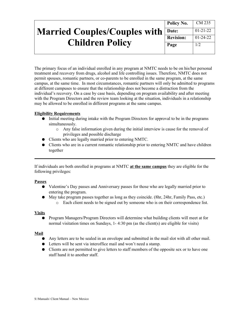|                                           | Policy No.       | CM 235         |
|-------------------------------------------|------------------|----------------|
| <b>Married Couples/Couples with Date:</b> |                  | $01 - 21 - 22$ |
|                                           | <b>Revision:</b> | $01 - 24 - 22$ |
| <b>Children Policy</b>                    | Page             | 1/2            |
|                                           |                  |                |

The primary focus of an individual enrolled in any program at NMTC needs to be on his/her personal treatment and recovery from drugs, alcohol and life controlling issues. Therefore, NMTC does not permit spouses, romantic partners, or co-parents to be enrolled in the same program, at the same campus, at the same time. In most circumstances, romantic partners will only be admitted to programs at different campuses to ensure that the relationship does not become a distraction from the individual's recovery. On a case by case basis, depending on program availability and after meeting with the Program Directors and the review team looking at the situation, individuals in a relationship may be allowed to be enrolled in different programs at the same campus.

#### **Eligibility Requirements**

- Initial meeting during intake with the Program Directors for approval to be in the programs simultaneously.
	- o Any false information given during the initial interview is cause for the removal of privileges and possible discharge
- Clients who are legally married prior to entering NMTC.
- Clients who are in a current romantic relationship prior to entering NMTC and have children together

If individuals are both enrolled in programs at NMTC **at the same campus** they are eligible for the following privileges:

#### **Passes**

- Valentine's Day passes and Anniversary passes for those who are legally married prior to entering the program.
- May take program passes together as long as they coincide. (8hr, 24hr, Family Pass, etc.) o Each client needs to be signed out by someone who is on their correspondence list.

#### **Visits**

● Program Managers/Program Directors will determine what building clients will meet at for normal visitation times on Sundays, 1- 4:30 pm (as the client(s) are eligible for visits)

#### **Mail**

- Any letters are to be sealed in an envelope and submitted in the mail slot with all other mail.
- Letters will be sent via interoffice mail and won't need a stamp.
- Clients are not permitted to give letters to staff members of the opposite sex or to have one staff hand it to another staff.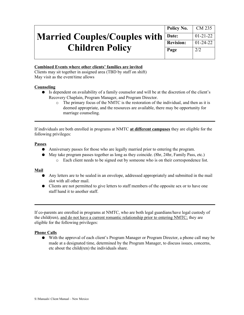# **Married Couples/Couples with Children Policy**

| Policy No.       | CM 235         |
|------------------|----------------|
| <b>Date:</b>     | $01 - 21 - 22$ |
| <b>Revision:</b> | $01 - 24 - 22$ |
| Page             | 2/2            |
|                  |                |

#### **Combined Events where other clients' families are invited**

Clients may sit together in assigned area (TBD by staff on shift) May visit as the event/time allows

#### **Counseling**

- Is dependent on availability of a family counselor and will be at the discretion of the client's Recovery Chaplain, Program Manager, and Program Director.
	- o The primary focus of the NMTC is the restoration of the individual, and then as it is deemed appropriate, and the resources are available, there may be opportunity for marriage counseling.

If individuals are both enrolled in programs at NMTC **at different campuses** they are eligible for the following privileges:

#### **Passes**

- Anniversary passes for those who are legally married prior to entering the program.
- May take program passes together as long as they coincide. (8hr, 24hr, Family Pass, etc.)
	- o Each client needs to be signed out by someone who is on their correspondence list.

#### **Mail**

- Any letters are to be sealed in an envelope, addressed appropriately and submitted in the mail slot with all other mail.
- Clients are not permitted to give letters to staff members of the opposite sex or to have one staff hand it to another staff.

If co-parents are enrolled in programs at NMTC, who are both legal guardians/have legal custody of the child(ren), and do not have a current romantic relationship prior to entering NMTC; they are eligible for the following privileges:

#### **Phone Calls**

● With the approval of each client's Program Manager or Program Director, a phone call may be made at a designated time, determined by the Program Manager, to discuss issues, concerns, etc about the child(ren) the individuals share.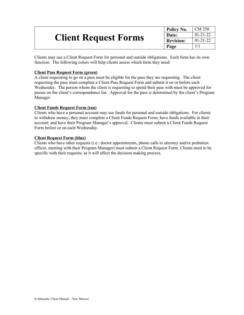|                             | Policy No. | CM 250         |
|-----------------------------|------------|----------------|
|                             | Date:      | $01 - 21 - 22$ |
| <b>Client Request Forms</b> | Revision:  | $01 - 21 - 22$ |
|                             | Page       |                |

Clients may use a Client Request Form for personal and outside obligations. Each form has its own function. The following colors will help clients assess which form they need:

#### **Client Pass Request Form (green)**

A client requesting to go on a pass must be eligible for the pass they are requesting. The client requesting the pass must complete a Client Pass Request Form and submit it on or before each Wednesday. The person whom the client is requesting to spend their pass with must be approved for passes on the client's correspondence list. Approval for the pass is determined by the client's Program Manager.

#### **Client Funds Request Form (tan)**

Clients who have a personal account may use funds for personal and outside obligations. For clients to withdraw money, they must complete a Client Funds Request Form; have funds available in their account; and have their Program Manager's approval. Clients must submit a Client Funds Request Form before or on each Wednesday.

#### **Client Request Form (blue)**

Clients who have other requests (i.e.: doctor appointments, phone calls to attorney and/or probation officer, meeting with their Program Manager) must submit a Client Request Form. Clients need to be specific with their requests, as it will affect the decision making process.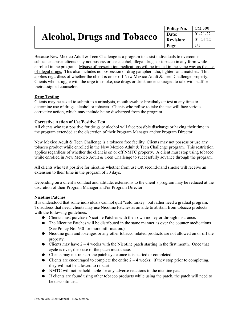|                                   | Policy No.       | $\mathcal{C}$ M 300 |
|-----------------------------------|------------------|---------------------|
| <b>Alcohol, Drugs and Tobacco</b> | Date:            | $01 - 21 - 22$      |
|                                   | <b>Revision:</b> | $01 - 24 - 22$      |
|                                   | Page             |                     |

Because New Mexico Adult & Teen Challenge is a program to assist individuals to overcome substance abuse, clients may not possess or use alcohol, illegal drugs or tobacco in any form while enrolled in the program. Misuse of prescription medications will be treated in the same way as the use of illegal drugs. This also includes no possession of drug paraphernalia, lighters and matches. This applies regardless of whether the client is on or off New Mexico Adult & Teen Challenge property. Clients who struggle with the urge to smoke, use drugs or drink are encouraged to talk with staff or their assigned counselor.

#### **Drug Testing**

Clients may be asked to submit to a urinalysis, mouth swab or breathalyzer test at any time to determine use of drugs, alcohol or tobacco. Clients who refuse to take the test will face serious corrective action, which may include being discharged from the program.

#### **Corrective Action of Use/Positive Test**

All clients who test positive for drugs or alcohol will face possible discharge or having their time in the program extended at the discretion of their Program Manager and/or Program Director.

New Mexico Adult & Teen Challenge is a tobacco free facility. Clients may not possess or use any tobacco product while enrolled in the New Mexico Adult & Teen Challenge program. This restriction applies regardless of whether the client is on or off NMTC property. A client must stop using tobacco while enrolled in New Mexico Adult & Teen Challenge to successfully advance through the program.

All clients who test positive for nicotine whether from use OR second-hand smoke will receive an extension to their time in the program of 30 days.

Depending on a client's conduct and attitude, extensions to the client's program may be reduced at the discretion of their Program Manager and/or Program Director.

#### **Nicotine Patches**

It is understood that some individuals can not quit "cold turkey" but rather need a gradual program. To address that need, clients may use Nicotine Patches as an aide to abstain from tobacco products with the following guidelines:

- Clients must purchase Nicotine Patches with their own money or through insurance.
- The Nicotine Patches will be distributed in the same manner as over the counter medications (See Policy No. 630 for more information.)
- Nicotine gum and lozenges or any other tobacco related products are not allowed on or off the property.
- Clients may have  $2 4$  weeks with the Nicotine patch starting in the first month. Once that cycle is over, their use of the patch must cease.
- Clients may not re-start the patch cycle once it is started or completed.
- Clients are encouraged to complete the entire  $2 4$  weeks: if they stop prior to completing, they will not be allowed to re-start.
- NMTC will not be held liable for any adverse reactions to the nicotine patch.
- If clients are found using other tobacco products while using the patch, the patch will need to be discontinued.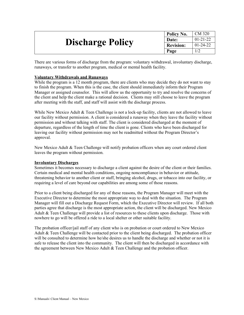|                         | Policy No.       | CM 320         |
|-------------------------|------------------|----------------|
|                         | Date:            | $01 - 21 - 22$ |
| <b>Discharge Policy</b> | <b>Revision:</b> | $01-24-22$     |
|                         | Page             |                |

There are various forms of discharge from the program: voluntary withdrawal, involuntary discharge, runaways, or transfer to another program, medical or mental health facility.

#### **Voluntary Withdrawals and Runaways**

While the program is a 12 month program, there are clients who may decide they do not want to stay to finish the program. When this is the case, the client should immediately inform their Program Manager or assigned counselor. This will allow us the opportunity to try and resolve the concerns of the client and help the client make a rational decision. Clients may still choose to leave the program after meeting with the staff, and staff will assist with the discharge process.

While New Mexico Adult  $\&$  Teen Challenge is not a lock-up facility, clients are not allowed to leave our facility without permission. A client is considered a runaway when they leave the facility without permission and without talking with staff. The client is considered discharged at the moment of departure, regardless of the length of time the client is gone. Clients who have been discharged for leaving our facility without permission may not be readmitted without the Program Director's approval.

New Mexico Adult & Teen Challenge will notify probation officers when any court ordered client leaves the program without permission.

#### **Involuntary Discharges**

Sometimes it becomes necessary to discharge a client against the desire of the client or their families. Certain medical and mental health conditions, ongoing noncompliance in behavior or attitude, threatening behavior to another client or staff, bringing alcohol, drugs, or tobacco into our facility, or requiring a level of care beyond our capabilities are among some of those reasons.

Prior to a client being discharged for any of these reasons, the Program Manager will meet with the Executive Director to determine the most appropriate way to deal with the situation. The Program Manager will fill out a Discharge Request Form, which the Executive Director will review. If all both parties agree that discharge is the most appropriate action, the client will be discharged. New Mexico Adult & Teen Challenge will provide a list of resources to these clients upon discharge. Those with nowhere to go will be offered a ride to a local shelter or other suitable facility.

The probation officer/jail staff of any client who is on probation or court ordered to New Mexico Adult & Teen Challenge will be contacted prior to the client being discharged. The probation officer will be consulted to determine how he/she desires us to handle the discharge and whether or not it is safe to release the client into the community. The client will then be discharged in accordance with the agreement between New Mexico Adult & Teen Challenge and the probation officer.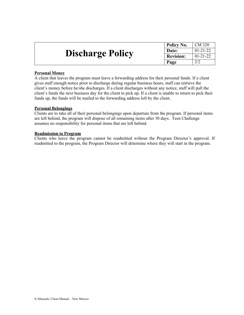|                         | Policy No.       | CM 320         |
|-------------------------|------------------|----------------|
|                         | Date:            | $01-21-22$     |
| <b>Discharge Policy</b> | <b>Revision:</b> | $01 - 21 - 22$ |
|                         | Page             |                |

#### **Personal Money**

A client that leaves the program must leave a forwarding address for their personal funds. If a client gives staff enough notice prior to discharge during regular business hours, staff can retrieve the client's money before he/she discharges. If a client discharges without any notice, staff will pull the client's funds the next business day for the client to pick up. If a client is unable to return to pick their funds up, the funds will be mailed to the forwarding address left by the client.

#### **Personal Belongings**

Clients are to take all of their personal belongings upon departure from the program. If personal items are left behind, the program will dispose of all remaining items after 30 days. Teen Challenge assumes no responsibility for personal items that are left behind.

#### **Readmission to Program**

Clients who leave the program cannot be readmitted without the Program Director's approval. If readmitted to the program, the Program Director will determine where they will start in the program.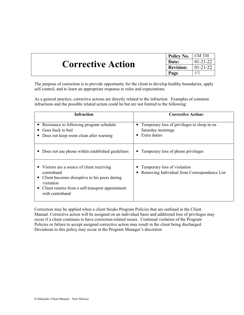|                          | Policy No. $\vert$ CM 330 |                |
|--------------------------|---------------------------|----------------|
| <b>Corrective Action</b> | Date:                     | $01 - 21 - 22$ |
|                          | <b>Revision:</b>          | $ 01-21-22 $   |
|                          | Page                      |                |

The purpose of correction is to provide opportunity for the client to develop healthy boundaries, apply self control, and to learn an appropriate response to rules and expectations.

As a general practice, corrective actions are directly related to the infraction. Examples of common infractions and the possible related action could be but are not limited to the following:

| <b>Infraction</b>                                                                                                                                                                                       | <b>Corrective Action:</b>                                                                               |
|---------------------------------------------------------------------------------------------------------------------------------------------------------------------------------------------------------|---------------------------------------------------------------------------------------------------------|
| Resistance to following program schedule<br>٠<br>Goes back to bed<br>■<br>Does not keep room clean after warning<br>п                                                                                   | Temporary loss of privileges to sleep in on<br>$\blacksquare$<br>Saturday mornings<br>Extra duties<br>п |
| Does not use phone within established guidelines                                                                                                                                                        | Temporary loss of phone privileges<br>$\blacksquare$                                                    |
| Visitors are a source of client receiving<br>contraband<br>Client becomes disruptive to his peers during<br>п<br>visitation<br>Client returns from a self-transport appointment<br>٠<br>with contraband | Temporary loss of visitation<br>Removing Individual from Correspondence List                            |

Correction may be applied when a client breaks Program Policies that are outlined in the Client Manual. Corrective action will be assigned on an individual basis and additional loss of privileges may occur if a client continues to have correction-related issues. Continual violation of the Program Policies or failure to accept assigned corrective action may result in the client being discharged. Deviations to this policy may occur at the Program Manager's discretion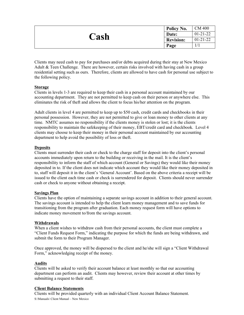| Cash | Policy No.       | <b>CM 400</b>  |
|------|------------------|----------------|
|      | Date:            | $01 - 21 - 22$ |
|      | <b>Revision:</b> | $01 - 21 - 22$ |
|      | Page             |                |

Clients may need cash to pay for purchases and/or debts acquired during their stay at New Mexico Adult & Teen Challenge. There are however, certain risks involved with having cash in a group residential setting such as ours. Therefore, clients are allowed to have cash for personal use subject to the following policy.

#### **Storage**

Clients in levels 1-3 are required to keep their cash in a personal account maintained by our accounting department. They are not permitted to keep cash on their person or anywhere else. This eliminates the risk of theft and allows the client to focus his/her attention on the program.

Adult clients in level 4 are permitted to keep up to \$50 cash, credit cards and checkbooks in their personal possession. However, they are not permitted to give or loan money to other clients at any time. NMTC assumes no responsibility if the clients money is stolen or lost; it is the clients responsibility to maintain the safekeeping of their money, EBT/credit card and checkbook. Level 4 clients may choose to keep their money in their personal account maintained by our accounting department to help avoid the possibility of loss or theft.

#### **Deposits**

Clients must surrender their cash or check to the charge staff for deposit into the client's personal accounts immediately upon return to the building or receiving in the mail. It is the client's responsibility to inform the staff of which account (General or Savings) they would like their money deposited in to. If the client does not indicate which account they would like their money deposited in to, staff will deposit it in the client's 'General Account'. Based on the above criteria a receipt will be issued to the client each time cash or check is surrendered for deposit. Clients should never surrender cash or check to anyone without obtaining a receipt.

#### **Savings Plan**

Clients have the option of maintaining a separate savings account in addition to their general account. The savings account is intended to help the client learn money management and to save funds for transitioning from the program after graduation. Each money request form will have options to indicate money movement to/from the savings account.

#### **Withdrawals**

When a client wishes to withdraw cash from their personal accounts, the client must complete a "Client Funds Request Form," indicating the purpose for which the funds are being withdrawn, and submit the form to their Program Manager.

Once approved, the money will be dispersed to the client and he/she will sign a "Client Withdrawal Form," acknowledging receipt of the money.

#### **Audits**

Clients will be asked to verify their account balance at least monthly so that our accounting department can perform an audit. Clients may however, review their account at other times by submitting a request to their staff.

#### **Client Balance Statements**

Clients will be provided quarterly with an individual Client Account Balance Statement. S:\Manuals\ Client Manual – New Mexico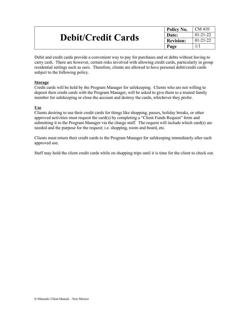|                           | <sup><i>l</i></sup> Policy No. | CM 410         |
|---------------------------|--------------------------------|----------------|
| <b>Debit/Credit Cards</b> | Date:                          | $01 - 21 - 22$ |
|                           | <b>Revision:</b>               | $01 - 21 - 22$ |
|                           | Page                           |                |

Debit and credit cards provide a convenient way to pay for purchases and or debts without having to carry cash. There are however, certain risks involved with allowing credit cards, particularly in group residential settings such as ours. Therefore, clients are allowed to have personal debit/credit cards subject to the following policy.

#### **Storage**

Credit cards will be held by the Program Manager for safekeeping. Clients who are not willing to deposit their credit cards with the Program Manager, will be asked to give them to a trusted family member for safekeeping or close the account and destroy the cards, whichever they prefer.

#### **Use**

Clients desiring to use their credit cards for things like shopping, passes, holiday breaks, or other approved activities must request the card(s) by completing a "Client Funds Request" form and submitting it to the Program Manager via the charge staff. The request will include which card(s) are needed and the purpose for the request; i.e. shopping, room and board, etc.

Clients must return their credit cards to the Program Manager for safekeeping immediately after each approved use.

Staff may hold the client credit cards while on shopping trips until it is time for the client to check out.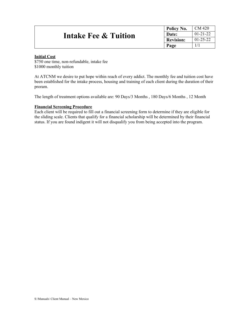| Intake Fee & Tuition | Policy No.       | CM 420         |
|----------------------|------------------|----------------|
|                      | Date:            | $01 - 21 - 22$ |
|                      | <b>Revision:</b> | $01 - 25 - 22$ |
|                      | Page             |                |

#### **Initial Cost**

\$750 one time, non-refundable, intake fee \$1000 monthly tuition

At ATCNM we desire to put hope within reach of every addict. The monthly fee and tuition cost have been established for the intake process, housing and training of each client during the duration of their proram.

The length of treatment options available are: 90 Days/3 Months , 180 Days/6 Months , 12 Month

#### **Financial Screening Procedure**

Each client will be required to fill out a financial screening form to determine if they are eligible for the sliding scale. Clients that qualify for a financial scholarship will be determined by their financial status. If you are found indigent it will not disqualify you from being accepted into the program.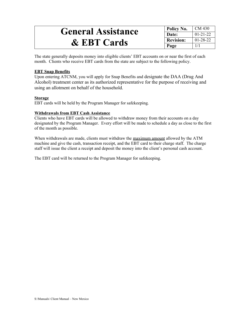# **General Assistance & EBT Cards**

**Policy No.** CM 430 **Date:** 01-21-22<br>**Revision:** 01-28-22 **Revision: Page**  $\vert$  1/1

The state generally deposits money into eligible clients' EBT accounts on or near the first of each month. Clients who receive EBT cards from the state are subject to the following policy.

#### **EBT Snap Benefits**

Upon entering ATCNM, you will apply for Snap Benefits and designate the DAA (Drug And Alcohol) treatment center as its authorized representative for the purpose of receiving and using an allotment on behalf of the household.

#### **Storage**

EBT cards will be held by the Program Manager for safekeeping.

#### **Withdrawals from EBT Cash Assistance**

Clients who have EBT cards will be allowed to withdraw money from their accounts on a day designated by the Program Manager. Every effort will be made to schedule a day as close to the first of the month as possible.

When withdrawals are made, clients must withdraw the maximum amount allowed by the ATM machine and give the cash, transaction receipt, and the EBT card to their charge staff. The charge staff will issue the client a receipt and deposit the money into the client's personal cash account.

The EBT card will be returned to the Program Manager for safekeeping.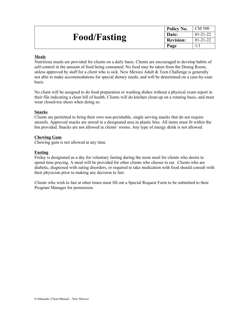|                     | Policy No.       | CM 500         |
|---------------------|------------------|----------------|
| <b>Food/Fasting</b> | Date:            | $01 - 21 - 22$ |
|                     | <b>Revision:</b> | $01 - 21 - 22$ |
|                     | Page             |                |

#### **Meals**

Nutritious meals are provided for clients on a daily basis. Clients are encouraged to develop habits of self-control in the amount of food being consumed. No food may be taken from the Dining Room, unless approved by staff for a client who is sick. New Mexico Adult  $&$  Teen Challenge is generally not able to make accommodations for special dietary needs, and will be determined on a case-by-case basis.

No client will be assigned to do food preparation or washing dishes without a physical exam report in their file indicating a clean bill of health. Clients will do kitchen clean-up on a rotating basis, and must wear closed-toe shoes when doing so.

#### **Snacks**

Clients are permitted to bring their own non-perishable, single serving snacks that do not require utensils. Approved snacks are stored in a designated area in plastic bins. All items must fit within the bin provided. Snacks are not allowed in clients' rooms. Any type of energy drink is not allowed.

#### **Chewing Gum**

Chewing gum is not allowed at any time.

#### **Fasting**

Friday is designated as a day for voluntary fasting during the noon meal for clients who desire to spend time praying. A meal will be provided for other clients who choose to eat. Clients who are diabetic, diagnosed with eating disorders, or required to take medication with food should consult with their physician prior to making any decision to fast.

Clients who wish to fast at other times must fill out a Special Request Form to be submitted to their Program Manager for permission.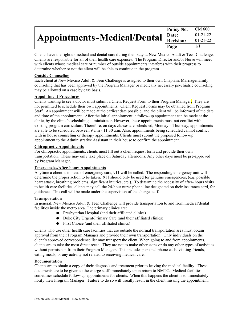|                                                                       | Policy No. | CM 600         |
|-----------------------------------------------------------------------|------------|----------------|
| Appointments-Medical/Dental $\frac{ \text{Date} }{ \text{Revision} }$ |            | $01 - 21 - 22$ |
|                                                                       |            | $01 - 21 - 22$ |
|                                                                       | Page       | 1/1            |

Clients have the right to medical and dental care during their stay at New Mexico Adult & Teen Challenge. Clients are responsible for all of their health care expenses. The Program Director and/or Nurse will meet with clients whose medical care or number of outside appointments interferes with their progress to determine whether or not the client will be able to continue in the program.

#### **Outside Counseling**

Each client at New Mexico Adult & Teen Challenge is assigned to their own Chaplain. Marriage/family counseling that has been approved by the Program Manager or medically necessary psychiatric counseling may be allowed on a case by case basis.

#### **Appointment Procedures**

Clients wanting to see a doctor must submit a Client Request Form to their Program Manager. They are not permitted to schedule their own appointments. Client Request Forms may be obtained from Program Staff. An appointment will be made at the earliest date possible, and the client will be informed of the date and time of the appointment. After the initial appointment, a follow-up appointment can be made at the clinic, by the clinic's scheduling administrator. However, these appointments must not conflict with existing program curriculum. Therefore, on days classes are scheduled, Monday – Thursday, appointments are able to be scheduled between 9 a.m - 11:30 a.m. Also, appointments being scheduled cannot conflict with in house counseling or therapy appointments. Clients must submit the proposed follow-up appointment to the Administrative Assistant in their house to confirm the appointment.

#### **Chiropractic Appointments**

For chiropractic appointments, clients must fill out a client request form and provide their own transportation. These may only take place on Saturday afternoons. Any other days must be pre-approved by Program Manager.

#### **Emergencies/After-hours Appointments**

Anytime a client is in need of emergency care, 911 will be called. The responding emergency unit will determine the proper action to be taken. 911 should only be used for genuine emergencies, (e.g. possible heart attack, breathing problems, significant injuries, etc.). To determine the necessity of after- hours visits to health care facilities, clients may call the 24-hour nurse phone line designated on their insurance card, for guidance. This call will be made under the supervision of the charge staff.

#### **Transportation**

In general, New Mexico Adult & Teen Challenge will provide transportation to and from medical/dental facilities inside the metro area. The primary clinics are:

- Presbyterian Hospital (and their affiliated clinics)
- Duke City Urgent/Primary Care (and their affiliated clinics)
- First Choice (and their affiliated clinics)

Clients who use other health care facilities that are outside the normal transportation area must obtain approval from their Program Manager and provide their own transportation. Only individuals on the client's approved correspondence list may transport the client. When going to and from appointments, clients are to take the most direct route. They are not to make other stops or do any other types of activities without permission from their Program Manager. This includes personal phone calls, visiting friends, eating meals, or any activity not related to receiving medical care.

#### **Documentation**

Clients are to obtain a copy of their diagnosis and treatment prior to leaving the medical facility. These documents are to be given to the charge staff immediately upon return to NMTC. Medical facilities sometimes schedule follow-up appointments for clients. When this happens the client is to immediately notify their Program Manager. Failure to do so will usually result in the client missing the appointment.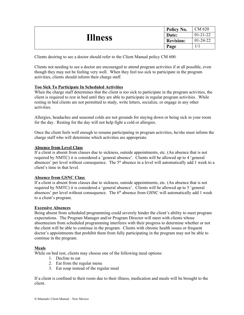| <b>Illness</b> | Policy No.       | CM 620         |
|----------------|------------------|----------------|
|                | Date:            | $01 - 21 - 22$ |
|                | <b>Revision:</b> | $01-24-22$     |
|                | Page             |                |

Clients desiring to see a doctor should refer to the Client Manual policy CM 600.

Clients not needing to see a doctor are encouraged to attend program activities if at all possible, even though they may not be feeling very well. When they feel too sick to participate in the program activities, clients should inform their charge staff.

#### **Too Sick To Participate In Scheduled Activities**

When the charge staff determines that the client is too sick to participate in the program activities, the client is required to rest in bed until they are able to participate in regular program activities. While resting in bed clients are not permitted to study, write letters, socialize, or engage in any other activities.

Allergies, headaches and seasonal colds are not grounds for staying down or being sick in your room for the day. Resting for the day will not help fight a cold or allergies.

Once the client feels well enough to resume participating in program activities, he/she must inform the charge staff who will determine which activities are appropriate.

#### **Absence from Level Class**

If a client is absent from classes due to sickness, outside appointments, etc. (An absence that is not required by NMTC) it is considered a 'general absence'. Clients will be allowed up to 4 'general absences' per level without consequence. The 5<sup>th</sup> absence in a level will automatically add 1 week to a client's time in that level.

#### **Absence from GSNC Class**

If a client is absent from classes due to sickness, outside appointments, etc. (An absence that is not required by NMTC) it is considered a 'general absence'. Clients will be allowed up to 5 'general absences' per level without consequence. The 6<sup>th</sup> absence from GSNC will automatically add 1 week to a client's program.

#### **Excessive Absences**

Being absent from scheduled programming could severely hinder the client's ability to meet program expectations. The Program Manager and/or Program Director will meet with clients whose absenteeism from scheduled programming interferes with their progress to determine whether or not the client will be able to continue in the program. Clients with chronic health issues or frequent doctor's appointments that prohibit them from fully participating in the program may not be able to continue in the program.

#### **Meals**

While on bed rest, clients may choose one of the following meal options:

- 1. Decline to eat
- 2. Eat from the regular menu
- 3. Eat soup instead of the regular meal

If a client is confined to their room due to their illness, medication and meals will be brought to the client.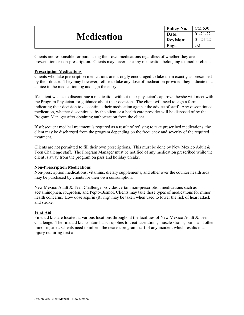| <b>Medication</b> | Policy No.       | CM 630         |
|-------------------|------------------|----------------|
|                   | Date:            | $01 - 21 - 22$ |
|                   | <b>Revision:</b> | $01-24-22$     |
|                   | Page             |                |

Clients are responsible for purchasing their own medications regardless of whether they are prescription or non-prescription. Clients may never take any medication belonging to another client.

#### **Prescription Medications**

Clients who take prescription medications are strongly encouraged to take them exactly as prescribed by their doctor. They may however, refuse to take any dose of medication provided they indicate that choice in the medication log and sign the entry.

If a client wishes to discontinue a medication without their physician's approval he/she will meet with the Program Physician for guidance about their decision. The client will need to sign a form indicating their decision to discontinue their medication against the advice of staff. Any discontinued medication, whether discontinued by the client or a health care provider will be disposed of by the Program Manager after obtaining authorization from the client.

If subsequent medical treatment is required as a result of refusing to take prescribed medications, the client may be discharged from the program depending on the frequency and severity of the required treatment.

Clients are not permitted to fill their own prescriptions. This must be done by New Mexico Adult  $\&$ Teen Challenge staff. The Program Manager must be notified of any medication prescribed while the client is away from the program on pass and holiday breaks.

#### **Non-Prescription Medications**

Non-prescription medications, vitamins, dietary supplements, and other over the counter health aids may be purchased by clients for their own consumption.

New Mexico Adult & Teen Challenge provides certain non-prescription medications such as acetaminophen, ibuprofen, and Pepto-Bismol. Clients may take these types of medications for minor health concerns. Low dose aspirin (81 mg) may be taken when used to lower the risk of heart attack and stroke.

#### **First Aid**

First aid kits are located at various locations throughout the facilities of New Mexico Adult & Teen Challenge. The first aid kits contain basic supplies to treat lacerations, muscle strains, burns and other minor injuries. Clients need to inform the nearest program staff of any incident which results in an injury requiring first aid.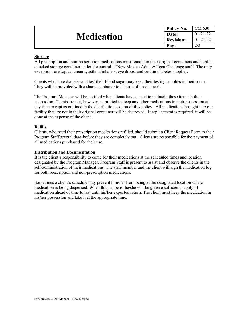| <b>Medication</b> | Policy No.       | CM 630         |
|-------------------|------------------|----------------|
|                   | Date:            | $01 - 21 - 22$ |
|                   | <b>Revision:</b> | $01 - 21 - 22$ |
|                   | Page             | 2/3            |

#### **Storage**

All prescription and non-prescription medications must remain in their original containers and kept in a locked storage container under the control of New Mexico Adult & Teen Challenge staff. The only exceptions are topical creams, asthma inhalers, eye drops, and certain diabetes supplies.

Clients who have diabetes and test their blood sugar may keep their testing supplies in their room. They will be provided with a sharps container to dispose of used lancets.

The Program Manager will be notified when clients have a need to maintain these items in their possession. Clients are not, however, permitted to keep any other medications in their possession at any time except as outlined in the distribution section of this policy. All medications brought into our facility that are not in their original container will be destroyed. If replacement is required, it will be done at the expense of the client.

#### **Refills**

Clients, who need their prescription medications refilled, should submit a Client Request Form to their Program Staff several days before they are completely out. Clients are responsible for the payment of all medications purchased for their use.

#### **Distribution and Documentation**

It is the client's responsibility to come for their medications at the scheduled times and location designated by the Program Manager. Program Staff is present to assist and observe the clients in the self-administration of their medications. The staff member and the client will sign the medication log for both prescription and non-prescription medications.

Sometimes a client's schedule may prevent him/her from being at the designated location where medication is being dispensed. When this happens, he/she will be given a sufficient supply of medication ahead of time to last until his/her expected return. The client must keep the medication in his/her possession and take it at the appropriate time.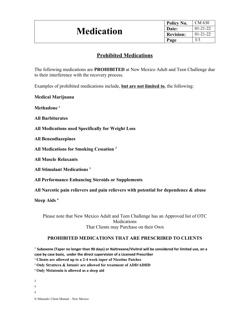| Policy No.       | CM 630         |
|------------------|----------------|
| Date:            | $01 - 21 - 22$ |
| <b>Revision:</b> | $01 - 21 - 22$ |
| Page             | 3/3            |
|                  |                |

## **Prohibited Medications**

The following medications are **PROHIBITED** at New Mexico Adult and Teen Challenge due to their interference with the recovery process.

Examples of prohibited medications include, **but are not limited to**, the following:

**Medical Marijuana**

**Methadone [1](#page-33-0)**

**All Barbiturates**

**All Medications used Specifically for Weight Loss**

**All Benzodiazepines** 

**All Medications for Smoking Cessation [2](#page-33-1)**

**All Muscle Relaxants**

**All Stimulant Medications [3](#page-33-2)**

**All Performance Enhancing Steroids or Supplements**

**All Narcotic pain relievers and pain relievers with potential for dependence & abuse**

**Sleep Aids [4](#page-33-3)**

Please note that New Mexico Adult and Teen Challenge has an Approved list of OTC Medications That Clients may Purchase on their Own

#### **PROHIBITED MEDICATIONS THAT ARE PRESCRIBED TO CLIENTS**

<span id="page-33-0"></span>1 **Suboxone (Taper no longer than 90 days) or Naltrexone/Vivitrol will be considered for limited use, on a case by case basis, under the direct supervision of a Licensed Prescriber** 

<sup>2</sup> **Clients are allowed up to a 2-4 week taper of Nicotine Patches**

<sup>3</sup> **Only Strattera & Intuniv are allowed for treatment of ADD/ADHD**

<sup>4</sup> **Only Melatonin is allowed as a sleep aid**

<span id="page-33-3"></span><span id="page-33-2"></span><span id="page-33-1"></span>2 3 4 S:\Manuals\ Client Manual – New Mexico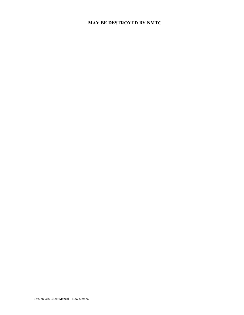## **MAY BE DESTROYED BY NMTC**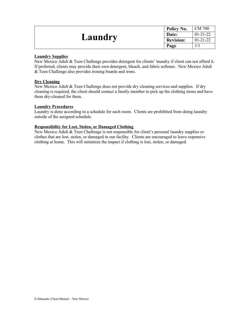| <b>Laundry</b> | Policy No.       | <b>CM 700</b>  |
|----------------|------------------|----------------|
|                | Date:            | $01 - 21 - 22$ |
|                | <b>Revision:</b> | $01 - 21 - 22$ |
|                | Page             |                |

#### **Laundry Supplies**

New Mexico Adult & Teen Challenge provides detergent for clients' laundry if client can not afford it. If preferred, clients may provide their own detergent, bleach, and fabric softener. New Mexico Adult & Teen Challenge also provides ironing boards and irons.

#### **Dry Cleaning**

New Mexico Adult & Teen Challenge does not provide dry cleaning services and supplies. If dry cleaning is required, the client should contact a family member to pick up the clothing items and have them dry-cleaned for them.

#### **Laundry Procedures**

Laundry is done according to a schedule for each room. Clients are prohibited from doing laundry outside of the assigned schedule.

#### **Responsibility for Lost, Stolen, or Damaged Clothing**

New Mexico Adult & Teen Challenge is not responsible for client's personal laundry supplies or clothes that are lost, stolen, or damaged in our facility. Clients are encouraged to leave expensive clothing at home. This will minimize the impact if clothing is lost, stolen, or damaged.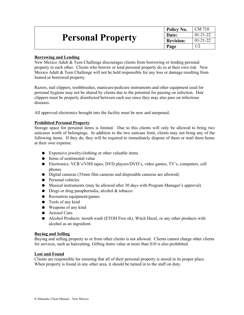| <b>Personal Property</b> | Policy No.       | CM 710         |
|--------------------------|------------------|----------------|
|                          | Date:            | $01 - 21 - 22$ |
|                          | <b>Revision:</b> | $01 - 21 - 22$ |
|                          | Page             |                |

#### **Borrowing and Lending**

New Mexico Adult & Teen Challenge discourages clients from borrowing or lending personal property to each other. Clients who borrow or lend personal property do so at their own risk. New Mexico Adult & Teen Challenge will not be held responsible for any loss or damage resulting from loaned or borrowed property.

Razors, nail clippers, toothbrushes, manicure/pedicure instruments and other equipment used for personal hygiene may not be shared by clients due to the potential for passing on infection. Hair clippers must be properly disinfected between each use since they may also pass on infectious diseases.

All approved electronics brought into the facility must be new and unopened.

#### **Prohibited Personal Property**

Storage space for personal items is limited. Due to this clients will only be allowed to bring two suitcases worth of belongings. In addition to the two suitcase limit, clients may not bring any of the following items. If they do, they will be required to immediately dispose of them or mail them home at their own expense.

- Expensive jewelry/clothing or other valuable items
- Items of sentimental value
- Electronics: VCR's/VHS tapes, DVD players/DVD's, video games, TV's, computers, cell phones
- Digital cameras (35mm film cameras and disposable cameras are allowed)
- Personal vehicles
- Musical instruments (may be allowed after 30 days with Program Manager's approval)
- $\bullet$  Drugs or drug paraphernalia, alcohol & tobacco
- Recreation equipment/games
- Tools of any kind
- Weapons of any kind
- Aerosol Cans
- Alcohol Products: mouth wash (ETOH Free ok), Witch Hazel, or any other products with alcohol as an ingredient.

#### **Buying and Selling**

Buying and selling property to or from other clients is not allowed. Clients cannot charge other clients for services, such as haircutting. Gifting items value at more than \$10 is also prohibited.

#### **Lost and Found**

Clients are responsible for ensuring that all of their personal property is stored in its proper place. When property is found in any other area, it should be turned in to the staff on duty.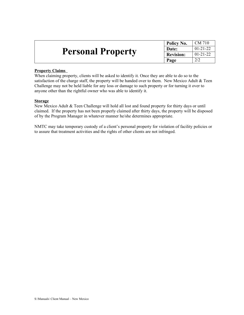|                          | Policy No.       | CM 710         |
|--------------------------|------------------|----------------|
|                          | Date:            | $01 - 21 - 22$ |
| <b>Personal Property</b> | <b>Revision:</b> | $01 - 21 - 22$ |
|                          | Page             |                |

#### **Property Claims**

When claiming property, clients will be asked to identify it. Once they are able to do so to the satisfaction of the charge staff, the property will be handed over to them. New Mexico Adult & Teen Challenge may not be held liable for any loss or damage to such property or for turning it over to anyone other than the rightful owner who was able to identify it.

#### **Storage**

New Mexico Adult & Teen Challenge will hold all lost and found property for thirty days or until claimed. If the property has not been properly claimed after thirty days, the property will be disposed of by the Program Manager in whatever manner he/she determines appropriate.

NMTC may take temporary custody of a client's personal property for violation of facility policies or to assure that treatment activities and the rights of other clients are not infringed.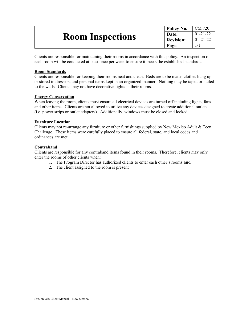| <b>Room Inspections</b> | <sup>'</sup> Policy No. | CM 720         |
|-------------------------|-------------------------|----------------|
|                         | Date:                   | $01 - 21 - 22$ |
|                         | <sup>t</sup> Revision:  | $01 - 21 - 22$ |
|                         | Page                    |                |

Clients are responsible for maintaining their rooms in accordance with this policy. An inspection of each room will be conducted at least once per week to ensure it meets the established standards.

#### **Room Standards**

Clients are responsible for keeping their rooms neat and clean. Beds are to be made, clothes hung up or stored in dressers, and personal items kept in an organized manner. Nothing may be taped or nailed to the walls. Clients may not have decorative lights in their rooms.

#### **Energy Conservation**

When leaving the room, clients must ensure all electrical devices are turned off including lights, fans and other items. Clients are not allowed to utilize any devices designed to create additional outlets (i.e. power strips or outlet adapters). Additionally, windows must be closed and locked.

#### **Furniture Location**

Clients may not re-arrange any furniture or other furnishings supplied by New Mexico Adult & Teen Challenge. These items were carefully placed to ensure all federal, state, and local codes and ordinances are met.

#### **Contraband**

Clients are responsible for any contraband items found in their rooms. Therefore, clients may only enter the rooms of other clients when:

- 1. The Program Director has authorized clients to enter each other's rooms **and**
- 2. The client assigned to the room is present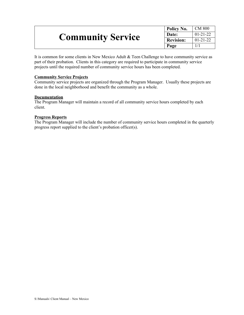| <b>Community Service</b> | Policy No.       | CM 800         |
|--------------------------|------------------|----------------|
|                          | Date:            | $01-21-22$     |
|                          | <b>Revision:</b> | $01 - 21 - 22$ |
|                          | Page             |                |

It is common for some clients in New Mexico Adult & Teen Challenge to have community service as part of their probation. Clients in this category are required to participate in community service projects until the required number of community service hours has been completed.

#### **Community Service Projects**

Community service projects are organized through the Program Manager. Usually these projects are done in the local neighborhood and benefit the community as a whole.

#### **Documentation**

The Program Manager will maintain a record of all community service hours completed by each client.

#### **Progress Reports**

The Program Manager will include the number of community service hours completed in the quarterly progress report supplied to the client's probation officer(s).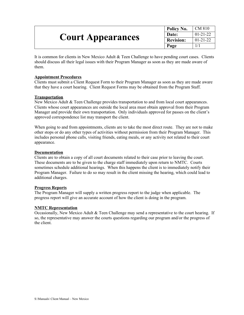| <b>Court Appearances</b> | Policy No.       | $\mid$ CM 810  |
|--------------------------|------------------|----------------|
|                          | Date:            | $01 - 21 - 22$ |
|                          | <b>Revision:</b> | $01 - 21 - 22$ |
|                          | Page             |                |

It is common for clients in New Mexico Adult & Teen Challenge to have pending court cases. Clients should discuss all their legal issues with their Program Manager as soon as they are made aware of them.

#### **Appointment Procedures**

Clients must submit a Client Request Form to their Program Manager as soon as they are made aware that they have a court hearing. Client Request Forms may be obtained from the Program Staff.

#### **Transportation**

New Mexico Adult & Teen Challenge provides transportation to and from local court appearances. Clients whose court appearances are outside the local area must obtain approval from their Program Manager and provide their own transportation. Only individuals approved for passes on the client's approved correspondence list may transport the client.

When going to and from appointments, clients are to take the most direct route. They are not to make other stops or do any other types of activities without permission from their Program Manager. This includes personal phone calls, visiting friends, eating meals, or any activity not related to their court appearance.

#### **Documentation**

Clients are to obtain a copy of all court documents related to their case prior to leaving the court. These documents are to be given to the charge staff immediately upon return to NMTC. Courts sometimes schedule additional hearings. When this happens the client is to immediately notify their Program Manager. Failure to do so may result in the client missing the hearing, which could lead to additional charges.

#### **Progress Reports**

The Program Manager will supply a written progress report to the judge when applicable. The progress report will give an accurate account of how the client is doing in the program.

#### **NMTC Representation**

Occasionally, New Mexico Adult & Teen Challenge may send a representative to the court hearing. If so, the representative may answer the courts questions regarding our program and/or the progress of the client.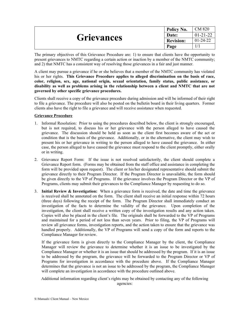|                   | Policy No.       | CM 820         |
|-------------------|------------------|----------------|
| <b>Grievances</b> | Date:            | $01-21-22$     |
|                   | <b>Revision:</b> | $01 - 24 - 22$ |
|                   | Page             |                |

The primary objectives of this Grievance Procedure are: 1) to ensure that clients have the opportunity to present grievances to NMTC regarding a certain action or inaction by a member of the NMTC community; and 2) that NMTC has a consistent way of resolving those grievances in a fair and just manner.

A client may pursue a grievance if he or she believes that a member of the NMTC community has violated his or her rights. **This Grievance Procedure applies to alleged discrimination on the basis of race, color, religion, sex, age, national origin, sexual orientation, family status, public assistance, or disability as well as problems arising in the relationship between a client and NMTC that are not governed by other specific grievance procedures.** 

Clients shall receive a copy of the grievance procedure during admission and will be informed of their right to file a grievance. The procedure will also be posted on the bulletin board in their living quarters. Former clients also have the right to file a grievance and will receive assistance when requested.

#### **Grievance Procedure**

- 1. Informal Resolution: Prior to using the procedures described below, the client is strongly encouraged, but is not required, to discuss his or her grievance with the person alleged to have caused the grievance. The discussion should be held as soon as the client first becomes aware of the act or condition that is the basis of the grievance. Additionally, or in the alternative, the client may wish to present his or her grievance in writing to the person alleged to have caused the grievance. In either case, the person alleged to have caused the grievance must respond to the client promptly, either orally or in writing.
- 2. Grievance Report Form: If the issue is not resolved satisfactorily, the client should complete a Grievance Report form. (Forms may be obtained from the staff office and assistance in completing the form will be provided upon request). The client or his/her designated representative should submit the grievance directly to their Program Director. If the Program Director is unavailable, the form should be given directly to the VP of Programs. If the grievance involves the Program Director or the VP of Programs, clients may submit their grievances to the Compliance Manager by requesting to do so.
- 3. **Initial Review & Investigation:** When a grievance form is received, the date and time the grievance is received shall be annotated on the form. The client shall receive an initial response within 72 hours (three days) following the receipt of the form. The Program Director shall immediately conduct an investigation of the facts to determine the validity of the grievance. Upon completion of the investigation, the client shall receive a written copy of the investigation results and any action taken. Copies will also be placed in the client's file. The originals shall be forwarded to the VP of Programs and maintained for a period of not less than seven years. Prior to filing, the VP of Programs will review all grievance forms, investigation reports, and the action taken to ensure that the grievance was handled properly. Additionally, the VP of Programs will send a copy of the form and reports to the Compliance Manager for review.

If the grievance form is given directly to the Compliance Manager by the client, the Compliance Manager will review the grievance to determine whether it is an issue to be investigated by the Compliance Manager or whether it is an issue that should be addressed by the program. If it is an issue to be addressed by the program, the grievance will be forwarded to the Program Director or VP of Programs for investigation in accordance with the procedure above. If the Compliance Manager determines that the grievance is not an issue to be addressed by the program, the Compliance Manager will complete an investigation in accordance with the procedure outlined above.

Additional information regarding client's rights may be obtained by contacting any of the following agencies: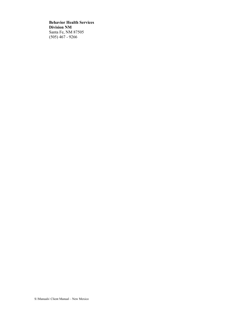**Behavior Health Services Division NM** Santa Fe, NM 87505 (505) 467 - 9266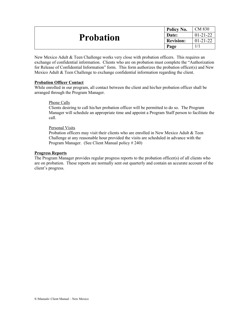| <b>Probation</b> | Policy No.       | CM 830         |
|------------------|------------------|----------------|
|                  | Date:            | $01 - 21 - 22$ |
|                  | <b>Revision:</b> | $01 - 21 - 22$ |
|                  | Page             |                |

New Mexico Adult & Teen Challenge works very close with probation officers. This requires an exchange of confidential information. Clients who are on probation must complete the "Authorization for Release of Confidential Information" form. This form authorizes the probation officer(s) and New Mexico Adult  $\&$  Teen Challenge to exchange confidential information regarding the client.

#### **Probation Officer Contact**

While enrolled in our program, all contact between the client and his/her probation officer shall be arranged through the Program Manager.

#### Phone Calls

Clients desiring to call his/her probation officer will be permitted to do so. The Program Manager will schedule an appropriate time and appoint a Program Staff person to facilitate the call.

#### Personal Visits

Probation officers may visit their clients who are enrolled in New Mexico Adult & Teen Challenge at any reasonable hour provided the visits are scheduled in advance with the Program Manager. (See Client Manual policy # 240)

#### **Progress Reports**

The Program Manager provides regular progress reports to the probation officer(s) of all clients who are on probation. These reports are normally sent out quarterly and contain an accurate account of the client's progress.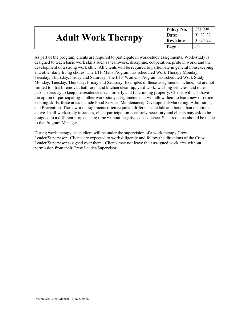| <b>Adult Work Therapy</b> | $\perp$ Policy No. | ∣ CM 900       |
|---------------------------|--------------------|----------------|
|                           | Date:              | $01 - 21 - 22$ |
|                           | <b>Revision:</b>   | $01 - 24 - 22$ |
|                           | Page               |                |

As part of the program, clients are required to participate in work-study assignments. Work-study is designed to teach basic work skills such as teamwork, discipline, cooperation, pride in work, and the development of a strong work ethic. All clients will be required to participate in general housekeeping and other daily living chores. The LTP Mens Program has scheduled Work Therapy Monday, Tuesday, Thursday, Friday and Saturday. The LTP Womens Program has scheduled Work Study Monday, Tuesday, Thursday, Friday and Saturday. Examples of these assignments include, but are not limited to: trash removal, bathroom and kitchen clean-up, yard work, washing vehicles, and other tasks necessary to keep the residence clean, orderly and functioning properly. Clients will also have the option of participating in other work-study assignments that will allow them to learn new or refine existing skills; these areas include Food Service, Maintenance, Development/Marketing, Admissions, and Prevention. These work assignments often require a different schedule and hours than mentioned above. In all work study instances, client participation is entirely necessary and clients may ask to be assigned to a different project at anytime without negative consequence. Such requests should be made to the Program Manager.

During work-therapy, each client will be under the supervision of a work therapy Crew Leader/Supervisor. Clients are expected to work diligently and follow the directions of the Crew Leader/Supervisor assigned over them. Clients may not leave their assigned work area without permission from their Crew Leader/Supervisor.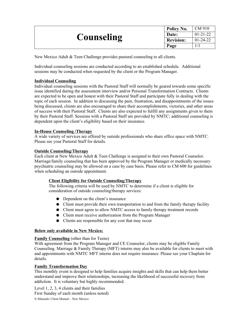|                   | Policy No.       | CM 910         |
|-------------------|------------------|----------------|
|                   | Date:            | $01 - 21 - 22$ |
| <b>Counseling</b> | <b>Revision:</b> | $01 - 24 - 22$ |
|                   | Page             |                |

New Mexico Adult & Teen Challenge provides pastoral counseling to all clients.

Individual counseling sessions are conducted according to an established schedule. Additional sessions may be conducted when requested by the client or the Program Manager.

#### **Individual Counseling**

Individual counseling sessions with the Pastoral Staff will normally be geared towards some specific issue identified during the assessment interview and/or Personal Transformation Contracts. Clients are expected to be open and honest with their Pastoral Staff and participate fully in dealing with the topic of each session. In addition to discussing the pain, frustration, and disappointments of the issues being discussed, clients are also encouraged to share their accomplishments, victories, and other areas of success with their Pastoral Staff. Clients are also expected to fulfill any assignments given to them by their Pastoral Staff. Sessions with a Pastoral Staff are provided by NMTC; additional counseling is dependent upon the client's eligibility based on their insurance.

#### **In-House Counseling /Therapy**

A wide variety of services are offered by outside professionals who share office space with NMTC. Please see your Pastoral Staff for details.

#### **Outside Counseling/Therapy**

Each client at New Mexico Adult & Teen Challenge is assigned to their own Pastoral Counselor. Marriage/family counseling that has been approved by the Program Manager or medically necessary psychiatric counseling may be allowed on a case by case basis. Please refer to CM 600 for guidelines when scheduling an outside appointment.

#### **Client Eligibility for Outside Counseling/Therapy**

The following criteria will be used by NMTC to determine if a client is eligible for consideration of outside counseling/therapy services:

- Dependent on the client's insurance
- Client must provide their own transportation to and from the family therapy facility
- Client must agree to allow NMTC access to family therapy treatment records
- Client must receive authorization from the Program Manager
- Clients are responsible for any cost that may occur

#### **Below only available in New Mexico:**

#### **Family Counseling** (other than for Teens)

With agreement from the Program Manager and CE Counselor, clients may be eligible Family Counseling. Marriage & Family Therapy (MFT) interns may also be available for clients to meet with and appointments with NMTC MFT interns does not require insurance. Please see your Chaplain for details.

#### **Family Transformation Day**

This monthly event is designed to help families acquire insights and skills that can help them better understand and improve their relationships, increasing the likelihood of successful recovery from addiction. It is voluntary but highly recommended.

Level 1, 2, 3, 4 clients and their families First Sunday of each month (unless noted) S:\Manuals\ Client Manual – New Mexico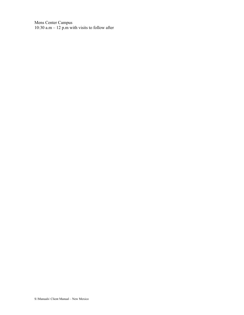Mens Center Campus 10:30 a.m  $-$  12 p.m with visits to follow after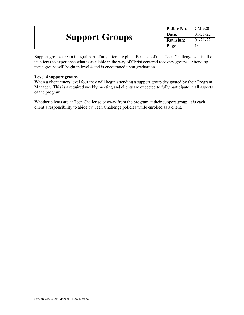|                       | Policy No.       | CM 920         |
|-----------------------|------------------|----------------|
|                       | Date:            | $01 - 21 - 22$ |
| <b>Support Groups</b> | <b>Revision:</b> | $01 - 21 - 22$ |
|                       | Page             |                |

Support groups are an integral part of any aftercare plan. Because of this, Teen Challenge wants all of its clients to experience what is available in the way of Christ centered recovery groups. Attending these groups will begin in level 4 and is encouraged upon graduation.

#### **Level 4 support groups**

When a client enters level four they will begin attending a support group designated by their Program Manager. This is a required weekly meeting and clients are expected to fully participate in all aspects of the program.

Whether clients are at Teen Challenge or away from the program at their support group, it is each client's responsibility to abide by Teen Challenge policies while enrolled as a client.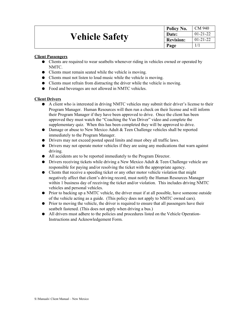|                       | Policy No.       | CM 940         |
|-----------------------|------------------|----------------|
| <b>Vehicle Safety</b> | Date:            | $01 - 21 - 22$ |
|                       | <b>Revision:</b> | $01 - 21 - 22$ |
|                       | Page             |                |

#### **Client Passengers**

- Clients are required to wear seatbelts whenever riding in vehicles owned or operated by NMTC.
- Clients must remain seated while the vehicle is moving.
- Clients must not listen to loud music while the vehicle is moving.
- Clients must refrain from distracting the driver while the vehicle is moving.
- Food and beverages are not allowed in NMTC vehicles.

#### **Client Drivers**

- A client who is interested in driving NMTC vehicles may submit their driver's license to their Program Manager. Human Resources will then run a check on their license and will inform their Program Manager if they have been approved to drive. Once the client has been approved they must watch the "Coaching the Van Driver" video and complete the supplementary quiz. When this has been completed they will be approved to drive.
- Damage or abuse to New Mexico Adult & Teen Challenge vehicles shall be reported immediately to the Program Manager.
- Drivers may not exceed posted speed limits and must obey all traffic laws.
- Drivers may not operate motor vehicles if they are using any medications that warn against driving.
- All accidents are to be reported immediately to the Program Director.
- Drivers receiving tickets while driving a New Mexico Adult & Teen Challenge vehicle are responsible for paying and/or resolving the ticket with the appropriate agency.
- Clients that receive a speeding ticket or any other motor vehicle violation that might negatively affect that client's driving record, must notify the Human Resources Manager within 1 business day of receiving the ticket and/or violation. This includes driving NMTC vehicles and personal vehicles.
- Prior to backing up a NMTC vehicle, the driver must if at all possible, have someone outside of the vehicle acting as a guide. (This policy does not apply to NMTC owned cars).
- Prior to moving the vehicle, the driver is required to ensure that all passengers have their seatbelt fastened. (This does not apply when driving a bus.)
- All drivers must adhere to the policies and procedures listed on the Vehicle Operation-Instructions and Acknowledgement Form.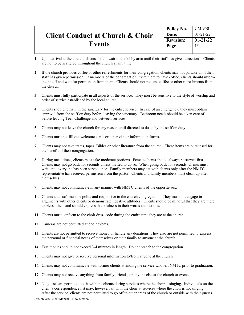|                                             | Policy No.       | CM 950         |
|---------------------------------------------|------------------|----------------|
| <b>Client Conduct at Church &amp; Choir</b> | Date:            | $01 - 21 - 22$ |
| <b>Events</b>                               | <b>Revision:</b> | $01 - 21 - 22$ |
|                                             | Page             |                |
|                                             |                  |                |

- **1.** Upon arrival at the church, clients should wait in the lobby area until their staff has given directions. Clients are not to be scattered throughout the church at any time.
- **2.** If the church provides coffee or other refreshments for their congregation, clients may not partake until their staff has given permission. If members of the congregation invite them to have coffee, clients should inform their staff and wait for permission from them. Clients should not request coffee or other refreshments from the church.
- **3.** Clients must fully participate in all aspects of the service. They must be sensitive to the style of worship and order of service established by the local church.
- **4.** Clients should remain in the sanctuary for the entire service. In case of an emergency, they must obtain approval from the staff on duty before leaving the sanctuary. Bathroom needs should be taken care of before leaving Teen Challenge and between services.
- **5.** Clients may not leave the church for any reason until directed to do so by the staff on duty.
- **6.** Clients must not fill out welcome cards or other visitor information forms.
- **7.** Clients may not take tracts, tapes, Bibles or other literature from the church. These items are purchased for the benefit of their congregation.
- **8.** During meal times, clients must take moderate portions. Female clients should always be served first. Clients may not go back for seconds unless invited to do so. When going back for seconds, clients must wait until everyone has been served once. Family members may eat with clients only after the NMTC representative has received permission from the pastor. Clients and family members must clean up after themselves.
- **9.** Clients may not communicate in any manner with NMTC clients of the opposite sex.
- **10.** Clients and staff must be polite and responsive to the church congregation. They must not engage in arguments with other clients or demonstrate negative attitudes. Clients should be mindful that they are there to bless others and should express thankfulness in their words and actions.
- **11.** Clients must conform to the choir dress code during the entire time they are at the church.
- **12.** Cameras are not permitted at choir events.
- **13.** Clients are not permitted to receive money or handle any donations. They also are not permitted to express the personal or financial needs of themselves or their family to anyone at the church.
- **14.** Testimonies should not exceed 3-4 minutes in length. Do not preach to the congregation.
- **15.** Clients may not give or receive personal information to/from anyone at the church.
- **16.** Clients may not communicate with former clients attending the service who left NMTC prior to graduation.
- **17.** Clients may not receive anything from family, friends, or anyone else at the church or event.
- **18.** No guests are permitted to sit with the clients during services where the choir is singing. Individuals on the client's correspondence list may, however, sit with the choir at services where the choir is not singing. After the service, clients are not permitted to go off to other areas of the church or outside with their guests.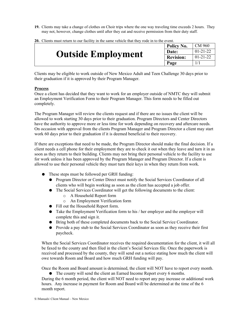**19.** Clients may take a change of clothes on Choir trips where the one way traveling time exceeds 2 hours. They may not, however, change clothes until after they eat and receive permission from their duty staff.

| <b>Outside Employment</b> | Policy No.       | CM 960         |
|---------------------------|------------------|----------------|
|                           | Date:            | $01 - 21 - 22$ |
|                           | <b>Revision:</b> | $01 - 21 - 22$ |
|                           | Page             |                |

**20.** Clients must return to our facility in the same vehicle that they rode in to the event.

Clients may be eligible to work outside of New Mexico Adult and Teen Challenge 30 days prior to their graduation if it is approved by their Program Manager.

#### **Process**

Once a client has decided that they want to work for an employer outside of NMTC they will submit an Employment Verification Form to their Program Manager. This form needs to be filled out completely.

The Program Manager will review the clients request and if there are no issues the client will be allowed to work starting 30 days prior to their graduation. Program Directors and Center Directors have the authority to approve more or less time for work depending on recovery and aftercare needs. On occasion with approval from the clients Program Manager and Program Director a client may start work 60 days prior to their graduation if it is deemed beneficial to their recovery.

If there are exceptions that need to be made, the Program Director should make the final decision. If a client needs a cell phone for their employment they are to check it out when they leave and turn it in as soon as they return to their building. Clients may not bring their personal vehicle to the facility to use for work unless it has been approved by the Program Manager and Program Director. If a client is allowed to use their personal vehicle they must turn their keys in when they return from work.

- These steps must be followed per GRH funding:
	- Program Director or Center Direct must notify the Social Services Coordinator of all clients who will begin working as soon as the client has accepted a job offer.
	- The Social Services Coordinator will get the following documents to the client:
		- o A Household Report form
		- o An Employment Verification form
	- Fill out the Household Report form.
	- Take the Employment Verification form to his / her employer and the employer will complete this and sign it.
	- Bring both of these completed documents back to the Social Service Coordinator.
	- Provide a pay stub to the Social Services Coordinator as soon as they receive their first paycheck.

When the Social Services Coordinator receives the required documentation for the client, it will all be faxed to the county and then filed in the client's Social Services file. Once the paperwork is received and processed by the county, they will send out a notice stating how much the client will owe towards Room and Board and how much GRH funding will pay.

Once the Room and Board amount is determined, the client will NOT have to report every month.

● The county will send the client an Earned Income Report every 6 months.

During the 6 month period, the client will NOT need to report any pay increase or additional work hours. Any increase in payment for Room and Board will be determined at the time of the 6 month report.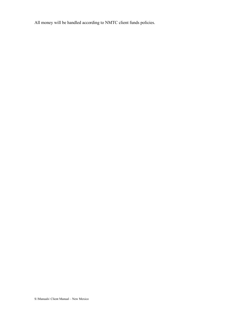All money will be handled according to NMTC client funds policies.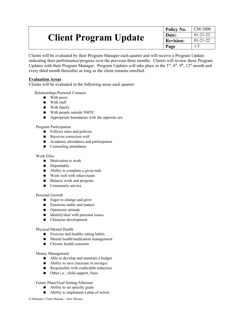| <b>Client Program Update</b> | Policy No.       | $\mathcal{C}$ M 1000 |
|------------------------------|------------------|----------------------|
|                              | Date:            | $01 - 21 - 22$       |
|                              | <b>Revision:</b> | $01 - 21 - 22$       |
|                              | Page             | 1/3                  |

Clients will be evaluated by their Program Manager each quarter and will receive a Program Update indicating their performance/progress over the previous three months. Clients will review these Program Updates with their Program Manager. Program Updates will take place in the  $3<sup>rd</sup>$ ,  $6<sup>th</sup>$ ,  $9<sup>th</sup>$ ,  $12<sup>th</sup>$  month and every third month thereafter as long as the client remains enrolled.

#### **Evaluation Areas**

Clients will be evaluated in the following areas each quarter:

Relationships/Personal Contacts

- With peers
- With staff
- With family
- With people outside NMTC
- Appropriate boundaries with the opposite sex

Program Participation

- Follows rules and policies
- Receives correction well
- Academic attendance and participation
- Counseling attendance

#### Work Ethic

- Motivation to work
- Dependable
- Ability to complete a given task
- Work well with others/team
- Balance work and program
- Community service

#### Personal Growth

- Eager to change and grow
- Emotions stable and mature
- Optimistic attitude
- Identify/deal with personal issues
- Character development

#### Physical/Mental Health

- Exercise and healthy eating habits
- Mental health/medication management
- Chronic health concerns

#### Money Management

- Able to develop and maintain a budget
- Ability to save (increase in savings)
- Responsible with credit/debt reduction
- Other i.e.: child support, fines

Future Plans/Goal Setting/Aftercare

- Ability to set specific goals
- Ability to implement a plan of action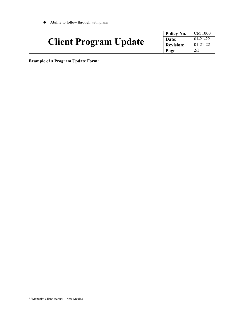● Ability to follow through with plans

|                              | Policy No.       | <b>CM 1000</b> |
|------------------------------|------------------|----------------|
| <b>Client Program Update</b> | Date:            | $01-21-22$     |
|                              | <b>Revision:</b> | $01 - 21 - 22$ |
|                              | Page             | 2/3            |

**Example of a Program Update Form:**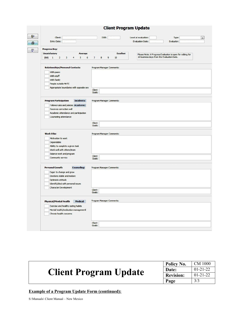| <b>Client Program Update</b>                                                                                                                                                                        |                                                                   |                                                                                                          |                          |
|-----------------------------------------------------------------------------------------------------------------------------------------------------------------------------------------------------|-------------------------------------------------------------------|----------------------------------------------------------------------------------------------------------|--------------------------|
| Client:<br><b>Entry Date:</b>                                                                                                                                                                       | DOB:                                                              | Level at evaluation:<br>Type:<br><b>Evaluation Date:</b><br>Evaluator:                                   | $\overline{\phantom{a}}$ |
| <b>Progress Key:</b>                                                                                                                                                                                |                                                                   |                                                                                                          |                          |
| <b>Unsatisfactory</b><br>Average<br>(NA)<br>3<br>5<br>$\mathbf{1}$<br>$\overline{2}$<br>6<br>4                                                                                                      | <b>Excellent</b><br>9<br>10<br>$\overline{7}$<br>$\boldsymbol{8}$ | Please Note: A Progress Evaluation is open for editing for<br>10 business days from the Evaluation Date. |                          |
| <b>Relationships/Personal Contacts</b><br>With peers<br>With staff<br>With family<br>People outside MnTC<br>Appropriate boundaries with opposite sex                                                | Program Manager Comments:<br>Client                               |                                                                                                          |                          |
| <b>Program Participation</b><br><b>Incidents:</b><br>Follows rules and policies Academic:<br>Receives correction well                                                                               | Goals:<br>Program Manager Comments:                               |                                                                                                          |                          |
| Academic attendance and participation<br>Counseling attendance                                                                                                                                      | Client<br>Goals:                                                  |                                                                                                          |                          |
| <b>Work Ethic</b><br>Motivation to work<br>Dependable<br>Ability to complete a given task<br>Work well with others/team<br><b>Balance work and program</b><br>Community service                     | Program Manager Comments:<br>Client<br>Goals:                     |                                                                                                          |                          |
| <b>Personal Growth</b><br><b>Counseling:</b><br>Eager to change and grow<br>Emotions stable and mature<br>Optimistic attitude<br>Identify/deal with personal issues<br><b>Character Development</b> | Program Manager Comments:<br>Client                               |                                                                                                          |                          |
| <b>Medical:</b><br><b>Physical/Mental Health</b><br>Exercise and healthy eating habits<br>Mental health/medication managementl<br>Chronic health concerns                                           | Goals:<br>Program Manager Comments:                               |                                                                                                          |                          |
|                                                                                                                                                                                                     | Client<br>Goals:                                                  |                                                                                                          |                          |

| <b>Client Program Update</b> | Policy No.       | CM 1000        |
|------------------------------|------------------|----------------|
|                              | Date:            | $01 - 21 - 22$ |
|                              | <b>Revision:</b> | $01 - 21 - 22$ |
|                              | Page             | 3/3            |

#### **Example of a Program Update Form (continued):**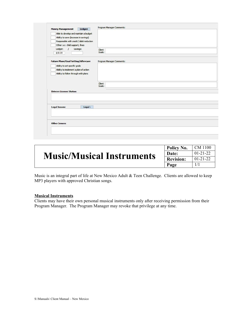|                                            | Program Manager Comments: |  |
|--------------------------------------------|---------------------------|--|
| <b>Money Management</b>                    | Ledger:                   |  |
| Able to develop and maintain a budget      |                           |  |
| Ability to save (increase in savings)      |                           |  |
| Responsible with credit / debt reduction   |                           |  |
| Other i.e.: child support, fines           |                           |  |
| Ledger:<br>Savings:<br>$\mathcal{I}$       | Client                    |  |
| \$10.00                                    | Goals:                    |  |
|                                            |                           |  |
| <b>Future Plans/Goal Setting/Aftercare</b> | Program Manager Comments: |  |
| Ability to set specific goals              |                           |  |
| Ability to implement a plan of action      |                           |  |
| Ability to follow through with plans       |                           |  |
|                                            |                           |  |
|                                            | Client                    |  |
|                                            | Goals:                    |  |
| <b>Drivers License Status:</b>             |                           |  |
|                                            |                           |  |
|                                            |                           |  |
|                                            |                           |  |
|                                            |                           |  |
| <b>Legal Issues:</b>                       | Legal:                    |  |
|                                            |                           |  |
|                                            |                           |  |
|                                            |                           |  |
| <b>Other Issues:</b>                       |                           |  |
|                                            |                           |  |

| <b>Music/Musical Instruments</b> | Policy No.       | CM 1100        |
|----------------------------------|------------------|----------------|
|                                  | Date:            | $01 - 21 - 22$ |
|                                  | <b>Revision:</b> | $01 - 21 - 22$ |
|                                  | Page             |                |

Music is an integral part of life at New Mexico Adult & Teen Challenge. Clients are allowed to keep MP3 players with approved Christian songs.

#### **Musical Instruments**

Clients may have their own personal musical instruments only after receiving permission from their Program Manager. The Program Manager may revoke that privilege at any time.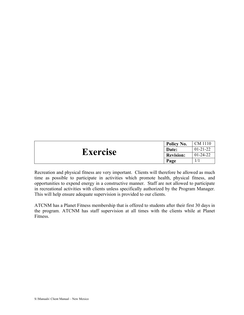| <b>Exercise</b> | Policy No.       | CM 1110        |
|-----------------|------------------|----------------|
|                 | Date:            | $01 - 21 - 22$ |
|                 | <b>Revision:</b> | $01 - 24 - 22$ |
|                 | Page             |                |

Recreation and physical fitness are very important. Clients will therefore be allowed as much time as possible to participate in activities which promote health, physical fitness, and opportunities to expend energy in a constructive manner. Staff are not allowed to participate in recreational activities with clients unless specifically authorized by the Program Manager. This will help ensure adequate supervision is provided to our clients.

ATCNM has a Planet Fitness membership that is offered to students after their first 30 days in the program. ATCNM has staff supervision at all times with the clients while at Planet Fitness.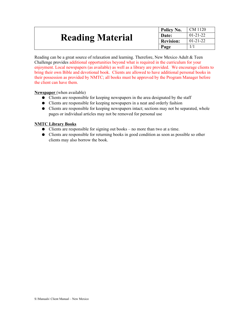| <b>Reading Material</b> | Policy No.       | CM 1120        |
|-------------------------|------------------|----------------|
|                         | Date:            | $01 - 21 - 22$ |
|                         | <b>Revision:</b> | $01 - 21 - 22$ |
|                         | Page             |                |

Reading can be a great source of relaxation and learning. Therefore, New Mexico Adult & Teen Challenge provides additional opportunities beyond what is required in the curriculum for your enjoyment. Local newspapers (as available) as well as a library are provided. We encourage clients to bring their own Bible and devotional book. Clients are allowed to have additional personal books in their possession as provided by NMTC; all books must be approved by the Program Manager before the client can have them.

**Newspaper** (when available)

- Clients are responsible for keeping newspapers in the area designated by the staff
- Clients are responsible for keeping newspapers in a neat and orderly fashion
- Clients are responsible for keeping newspapers intact; sections may not be separated, whole pages or individual articles may not be removed for personal use

#### **NMTC Library Books**

- Clients are responsible for signing out books no more than two at a time.
- Clients are responsible for returning books in good condition as soon as possible so other clients may also borrow the book.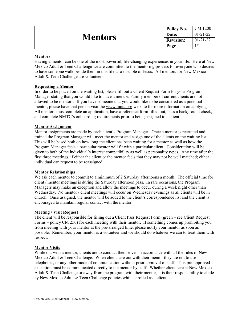| <b>Mentors</b> | Policy No.       | CM 1200        |
|----------------|------------------|----------------|
|                | Date:            | $01 - 21 - 22$ |
|                | <b>Revision:</b> | $01 - 21 - 22$ |
|                | Page             |                |

#### **Mentors**

Having a mentor can be one of the most powerful, life-changing experiences in your life. Here at New Mexico Adult  $\&$  Teen Challenge we are committed to the mentoring process for everyone who desires to have someone walk beside them in this life as a disciple of Jesus. All mentors for New Mexico Adult & Teen Challenge are volunteers.

#### **Requesting a Mentor**

In order to be placed on the waiting list, please fill out a Client Request Form for your Program Manager stating that you would like to have a mentor. Family member of current clients are not allowed to be mentors. If you have someone that you would like to be considered as a potential mentor, please have that person visit the <u>[www.mntc.org](http://www.mntc.org/)</u> website for more information on applying. All mentors must complete an application, have a reference form filled out, pass a background check, and complete NMTC's onboarding requirements prior to being assigned to a client.

#### **Mentor Assignment**

Mentor assignments are made by each client's Program Manager. Once a mentor is recruited and trained the Program Manager will meet the mentor and assign one of the clients on the waiting list. This will be based both on how long the client has been waiting for a mentor as well as how the Program Manager feels a particular mentor will fit with a particular client. Consideration will be given to both of the individual's interest compatibility as well as personality types. Any time after the first three meetings, if either the client or the mentor feels that they may not be well matched; either individual can request to be reassigned.

#### **Mentor Relationships**

We ask each mentor to commit to a minimum of 2 Saturday afternoons a month. The official time for client / mentor meetings is during the Saturday afternoon pass. In rare occasions, the Program Managers may make an exception and allow the meetings to occur during a week night other than Wednesday. No mentor / client meetings will occur on Wednesday evenings as all clients will be in church. Once assigned, the mentor will be added to the client's correspondence list and the client is encouraged to maintain regular contact with the mentor.

#### **Meeting / Visit Request**

The client will be responsible for filling out a Client Pass Request Form (green – see Client Request Forms – policy CM 250) for each meeting with their mentor. If something comes up prohibiting you from meeting with your mentor at the pre-arranged time, please notify your mentor as soon as possible. Remember, your mentor is a volunteer and we should do whatever we can to treat them with respect.

#### **Mentor Visits**

While out with a mentor, clients are to conduct themselves in accordance with all the rules of New Mexico Adult  $\&$  Teen Challenge. When clients are out with their mentor they are not to use telephones, or any other mode of communication without prior approval of staff. This pre-approved exception must be communicated directly to the mentor by staff. Whether clients are at New Mexico Adult & Teen Challenge or away from the program with their mentor, it is their responsibility to abide by New Mexico Adult & Teen Challenge policies while enrolled as a client